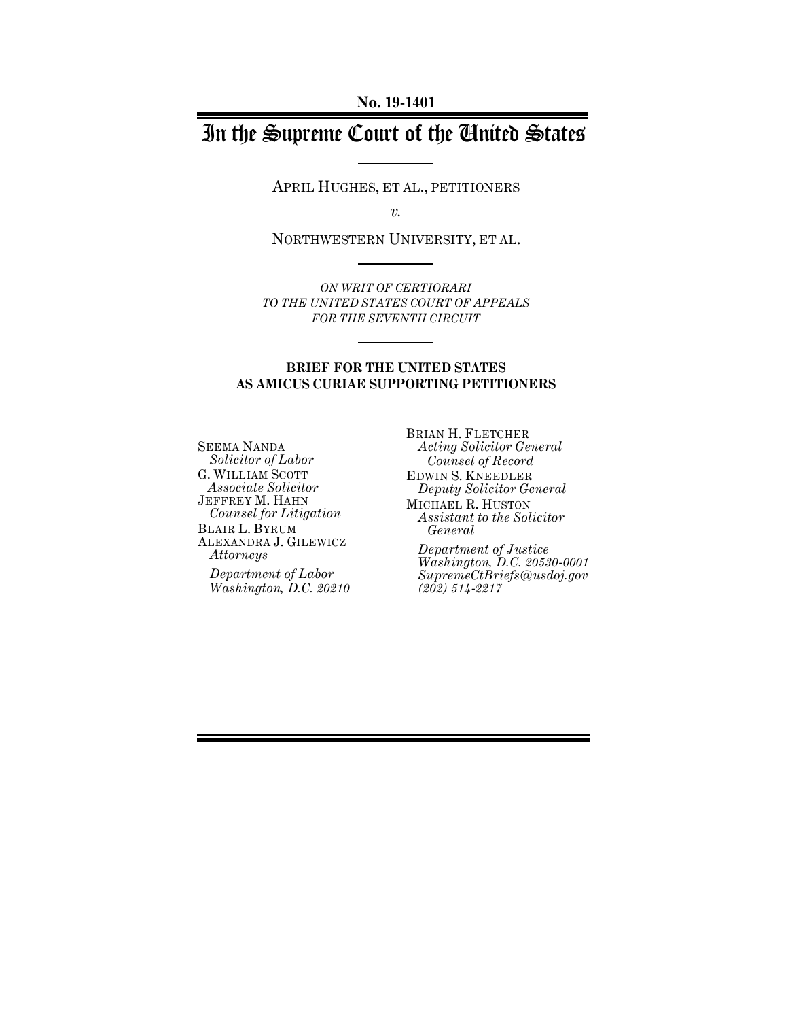# In the Supreme Court of the United States

APRIL HUGHES, ET AL., PETITIONERS

*v.*

NORTHWESTERN UNIVERSITY, ET AL.

*ON WRIT OF CERTIORARI TO THE UNITED STATES COURT OF APPEALS FOR THE SEVENTH CIRCUIT*

#### **BRIEF FOR THE UNITED STATES AS AMICUS CURIAE SUPPORTING PETITIONERS**

SEEMA NANDA *Solicitor of Labor* G. WILLIAM SCOTT *Associate Solicitor* JEFFREY M. HAHN *Counsel for Litigation* BLAIR L. BYRUM ALEXANDRA J. GILEWICZ *Attorneys* 

*Department of Labor Washington, D.C. 20210* BRIAN H. FLETCHER *Acting Solicitor General Counsel of Record* EDWIN S. KNEEDLER *Deputy Solicitor General* MICHAEL R. HUSTON *Assistant to the Solicitor General Department of Justice*

*Washington, D.C. 20530-0001 SupremeCtBriefs@usdoj.gov (202) 514-2217*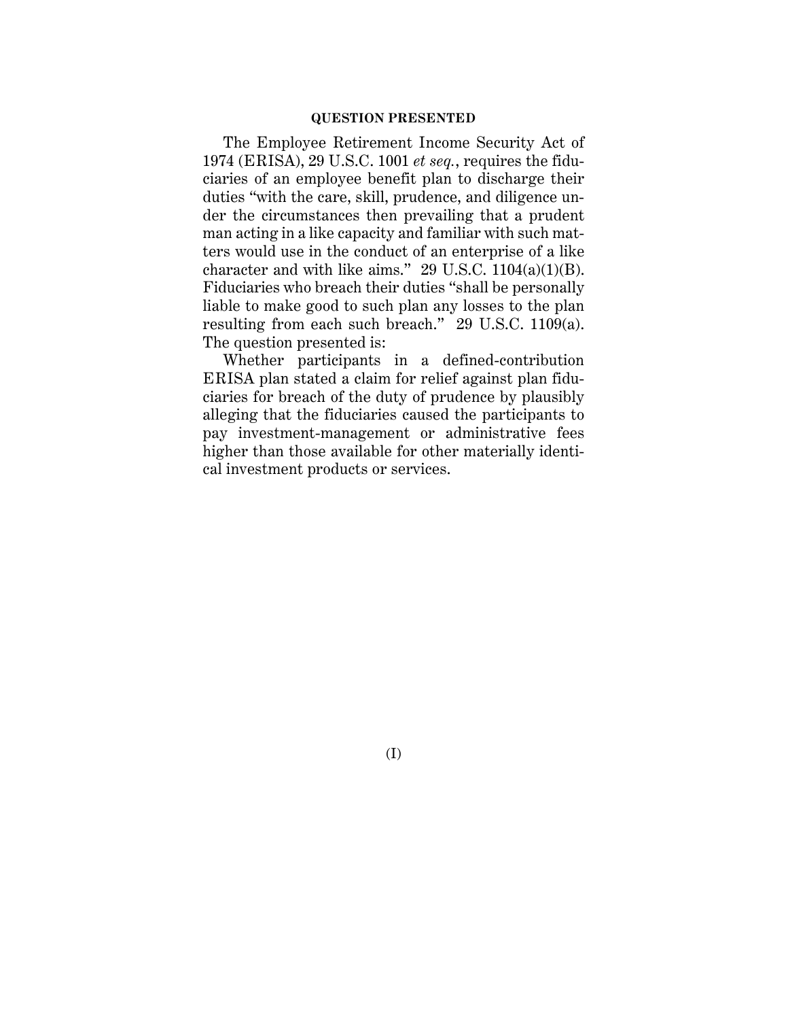#### **QUESTION PRESENTED**

The Employee Retirement Income Security Act of 1974 (ERISA), 29 U.S.C. 1001 *et seq.*, requires the fiduciaries of an employee benefit plan to discharge their duties "with the care, skill, prudence, and diligence under the circumstances then prevailing that a prudent man acting in a like capacity and familiar with such matters would use in the conduct of an enterprise of a like character and with like aims." 29 U.S.C.  $1104(a)(1)(B)$ . Fiduciaries who breach their duties "shall be personally liable to make good to such plan any losses to the plan resulting from each such breach." 29 U.S.C. 1109(a). The question presented is:

Whether participants in a defined-contribution ERISA plan stated a claim for relief against plan fiduciaries for breach of the duty of prudence by plausibly alleging that the fiduciaries caused the participants to pay investment-management or administrative fees higher than those available for other materially identical investment products or services.

(I)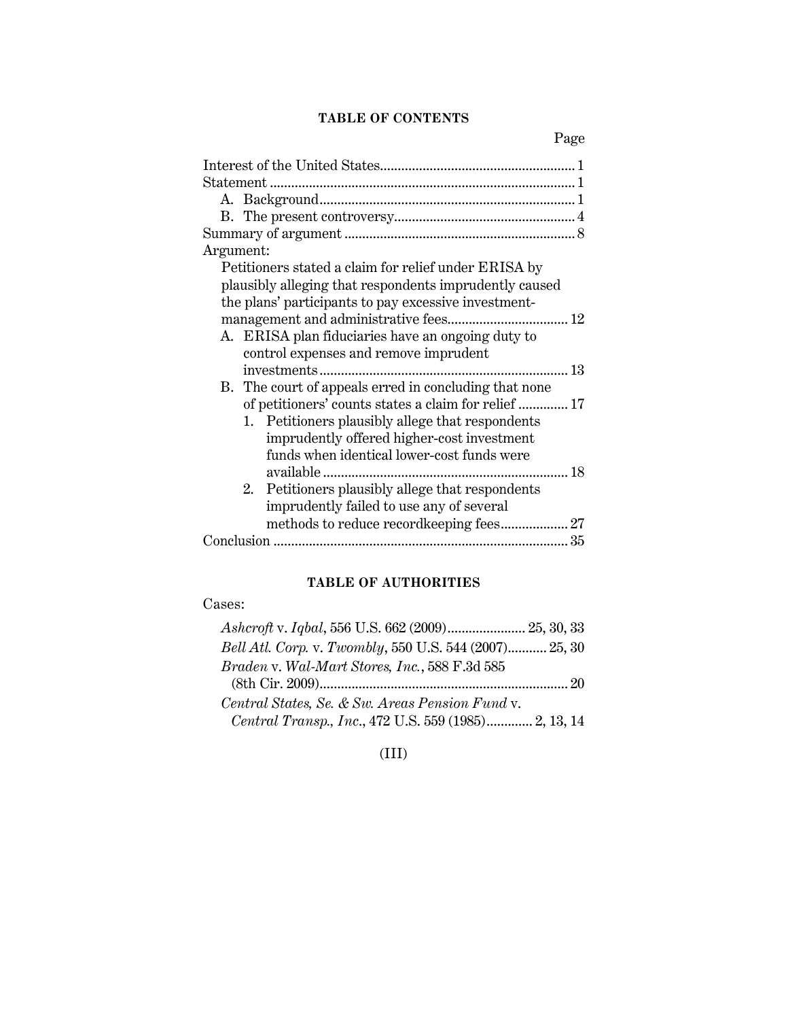### **TABLE OF CONTENTS**

Page

| Argument:                                              |
|--------------------------------------------------------|
| Petitioners stated a claim for relief under ERISA by   |
| plausibly alleging that respondents imprudently caused |
| the plans' participants to pay excessive investment-   |
|                                                        |
| A. ERISA plan fiduciaries have an ongoing duty to      |
| control expenses and remove imprudent                  |
| investments                                            |
| B. The court of appeals erred in concluding that none  |
| of petitioners' counts states a claim for relief  17   |
| 1. Petitioners plausibly allege that respondents       |
| imprudently offered higher-cost investment             |
| funds when identical lower-cost funds were             |
|                                                        |
| 2. Petitioners plausibly allege that respondents       |
| imprudently failed to use any of several               |
|                                                        |
|                                                        |

# **TABLE OF AUTHORITIES**

# Cases:

| Ashcroft v. Iqbal, 556 U.S. 662 (2009) 25, 30, 33      |  |
|--------------------------------------------------------|--|
| Bell Atl. Corp. v. Twombly, 550 U.S. 544 (2007) 25, 30 |  |
| Braden v. Wal-Mart Stores, Inc., 588 F.3d 585          |  |
|                                                        |  |
| Central States, Se. & Sw. Areas Pension Fund v.        |  |
| Central Transp., Inc., 472 U.S. 559 (1985) 2, 13, 14   |  |

(III)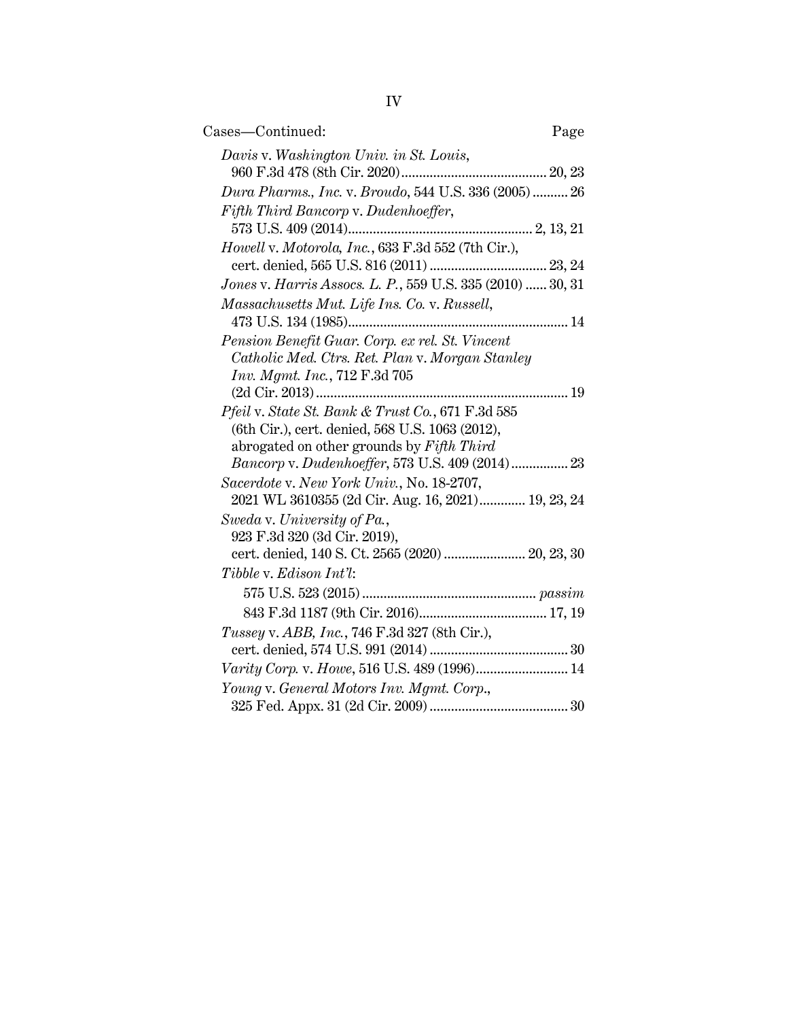| Cases—Continued:                                                                             | Page |
|----------------------------------------------------------------------------------------------|------|
| Davis v. Washington Univ. in St. Louis,                                                      |      |
| Dura Pharms., Inc. v. Broudo, 544 U.S. 336 (2005)  26                                        |      |
| Fifth Third Bancorp v. Dudenhoeffer,                                                         |      |
|                                                                                              |      |
| Howell v. Motorola, Inc., 633 F.3d 552 (7th Cir.),                                           |      |
|                                                                                              |      |
| Jones v. Harris Assocs. L. P., 559 U.S. 335 (2010)  30, 31                                   |      |
| Massachusetts Mut. Life Ins. Co. v. Russell,                                                 |      |
|                                                                                              |      |
| Pension Benefit Guar. Corp. ex rel. St. Vincent                                              |      |
| Catholic Med. Ctrs. Ret. Plan v. Morgan Stanley                                              |      |
| Inv. Mgmt. Inc., 712 F.3d 705                                                                |      |
|                                                                                              |      |
| Pfeil v. State St. Bank & Trust Co., 671 F.3d 585                                            |      |
| (6th Cir.), cert. denied, 568 U.S. 1063 (2012),<br>abrogated on other grounds by Fifth Third |      |
| Bancorp v. Dudenhoeffer, 573 U.S. 409 (2014) 23                                              |      |
| Sacerdote v. New York Univ., No. 18-2707,                                                    |      |
| 2021 WL 3610355 (2d Cir. Aug. 16, 2021) 19, 23, 24                                           |      |
| Sweda v. University of Pa.,                                                                  |      |
| 923 F.3d 320 (3d Cir. 2019),                                                                 |      |
| cert. denied, 140 S. Ct. 2565 (2020)  20, 23, 30                                             |      |
| Tibble v. Edison Int'l:                                                                      |      |
|                                                                                              |      |
|                                                                                              |      |
|                                                                                              |      |
| Tussey v. ABB, Inc., 746 F.3d 327 (8th Cir.),                                                |      |
|                                                                                              |      |
| Varity Corp. v. Howe, 516 U.S. 489 (1996) 14                                                 |      |
| Young v. General Motors Inv. Mgmt. Corp.,                                                    |      |
|                                                                                              |      |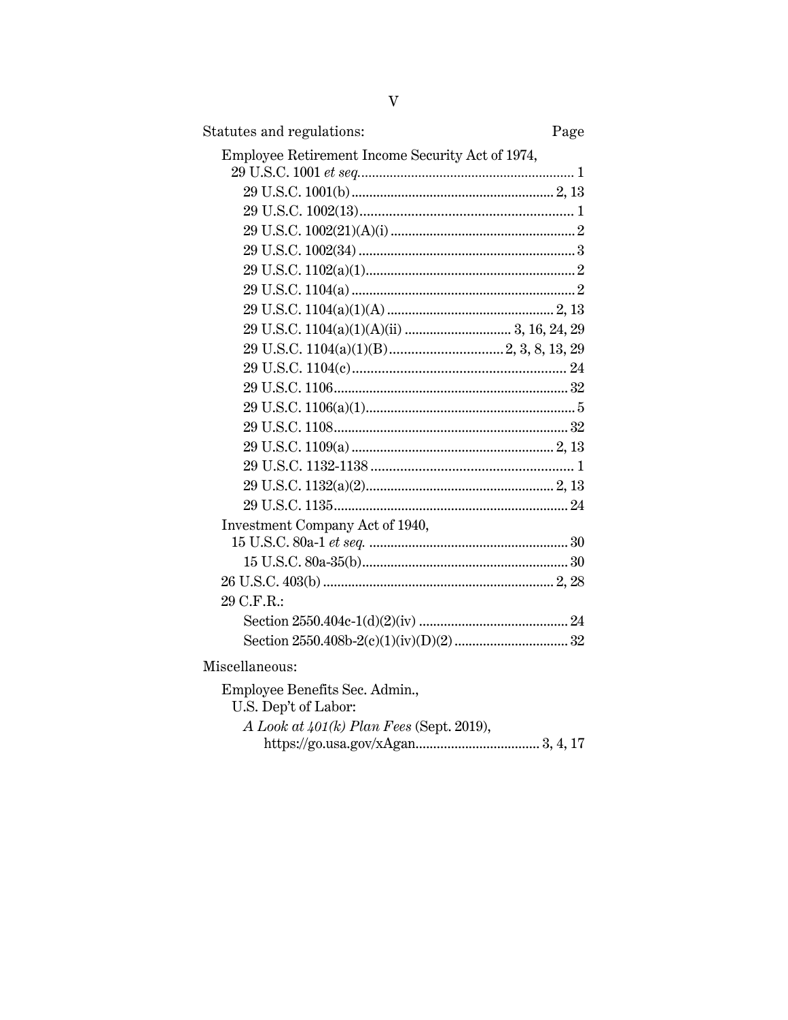| Statutes and regulations:                        | Page |
|--------------------------------------------------|------|
| Employee Retirement Income Security Act of 1974, |      |
|                                                  |      |
|                                                  |      |
|                                                  |      |
|                                                  |      |
|                                                  |      |
|                                                  |      |
|                                                  |      |
|                                                  |      |
|                                                  |      |
|                                                  |      |
|                                                  |      |
|                                                  |      |
|                                                  |      |
|                                                  |      |
|                                                  |      |
|                                                  |      |
|                                                  |      |
|                                                  |      |
| Investment Company Act of 1940,                  |      |
|                                                  |      |
|                                                  |      |
|                                                  |      |
| 29 C.F.R.:                                       |      |
|                                                  |      |
|                                                  |      |
| Miscellaneous:                                   |      |
| Employee Benefits Sec. Admin.,                   |      |
| U.S. Dep't of Labor:                             |      |
| A Look at $401(k)$ Plan Fees (Sept. 2019),       |      |
|                                                  |      |

 $\rm V$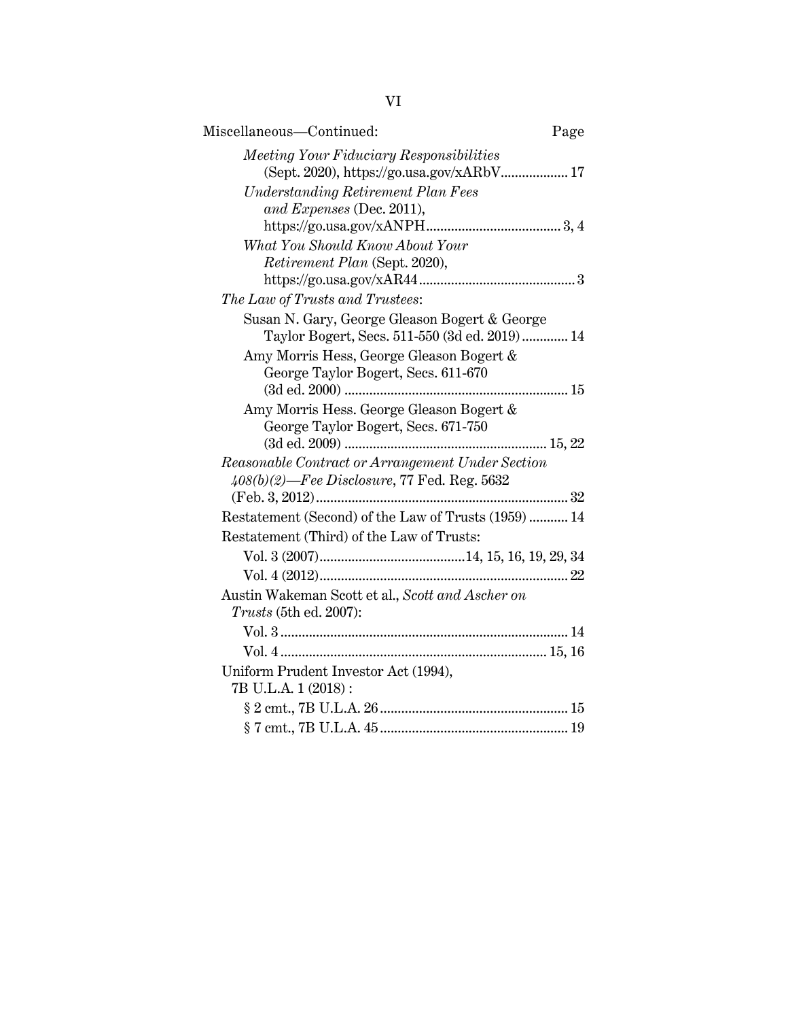| Miscellaneous-Continued:                                                                           | Page |
|----------------------------------------------------------------------------------------------------|------|
| Meeting Your Fiduciary Responsibilities<br>(Sept. 2020), https://go.usa.gov/xARbV 17               |      |
| <b>Understanding Retirement Plan Fees</b>                                                          |      |
| and Expenses (Dec. 2011),                                                                          |      |
| What You Should Know About Your                                                                    |      |
| Retirement Plan (Sept. 2020),                                                                      |      |
|                                                                                                    |      |
| The Law of Trusts and Trustees:                                                                    |      |
| Susan N. Gary, George Gleason Bogert & George                                                      |      |
| Taylor Bogert, Secs. 511-550 (3d ed. 2019) 14                                                      |      |
| Amy Morris Hess, George Gleason Bogert &                                                           |      |
| George Taylor Bogert, Secs. 611-670                                                                |      |
|                                                                                                    |      |
| Amy Morris Hess. George Gleason Bogert &                                                           |      |
| George Taylor Bogert, Secs. 671-750                                                                |      |
|                                                                                                    |      |
| Reasonable Contract or Arrangement Under Section<br>$408(b)(2)$ —Fee Disclosure, 77 Fed. Reg. 5632 |      |
|                                                                                                    |      |
| Restatement (Second) of the Law of Trusts (1959) 14                                                |      |
| Restatement (Third) of the Law of Trusts:                                                          |      |
|                                                                                                    |      |
|                                                                                                    |      |
| Austin Wakeman Scott et al., Scott and Ascher on                                                   |      |
| Trusts (5th ed. 2007):                                                                             |      |
|                                                                                                    |      |
|                                                                                                    |      |
| Uniform Prudent Investor Act (1994),                                                               |      |
| 7B U.L.A. 1 (2018):                                                                                |      |
|                                                                                                    |      |
|                                                                                                    |      |

VI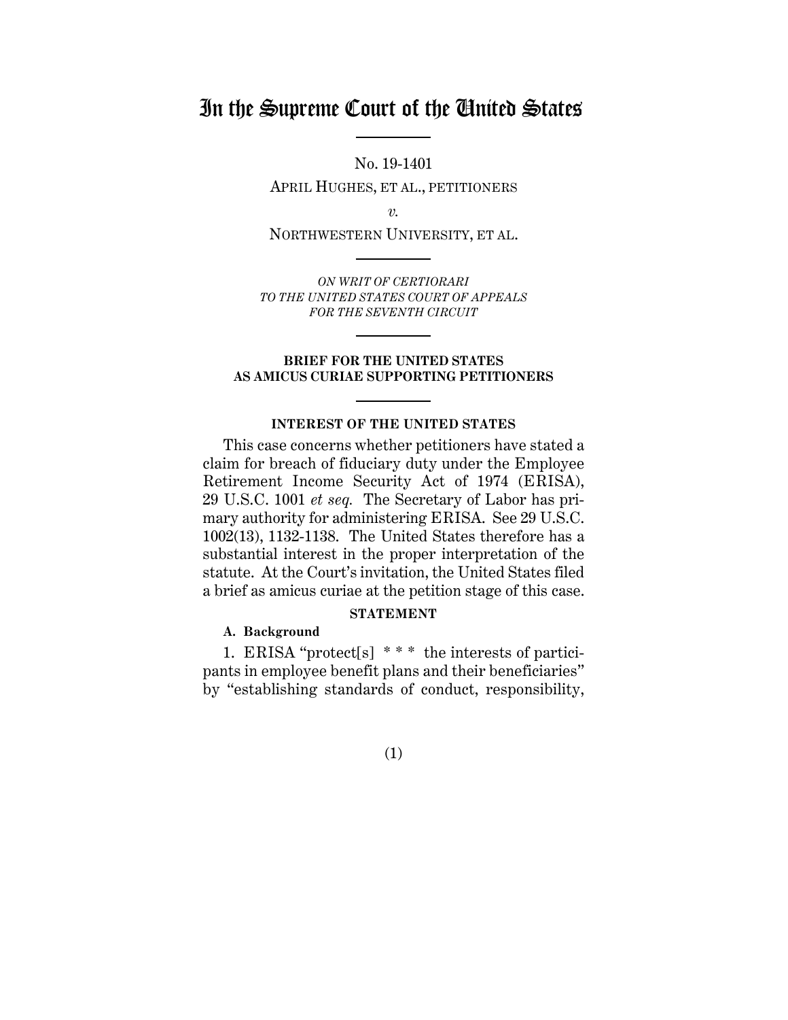# In the Supreme Court of the United States

No. 19-1401

APRIL HUGHES, ET AL., PETITIONERS

*v.*

NORTHWESTERN UNIVERSITY, ET AL.

*ON WRIT OF CERTIORARI TO THE UNITED STATES COURT OF APPEALS FOR THE SEVENTH CIRCUIT*

#### **BRIEF FOR THE UNITED STATES AS AMICUS CURIAE SUPPORTING PETITIONERS**

#### **INTEREST OF THE UNITED STATES**

This case concerns whether petitioners have stated a claim for breach of fiduciary duty under the Employee Retirement Income Security Act of 1974 (ERISA), 29 U.S.C. 1001 *et seq.* The Secretary of Labor has primary authority for administering ERISA. See 29 U.S.C. 1002(13), 1132-1138. The United States therefore has a substantial interest in the proper interpretation of the statute. At the Court's invitation, the United States filed a brief as amicus curiae at the petition stage of this case.

#### **STATEMENT**

## **A. Background**

1. ERISA "protect[s] \* \* \* the interests of participants in employee benefit plans and their beneficiaries" by "establishing standards of conduct, responsibility,

## (1)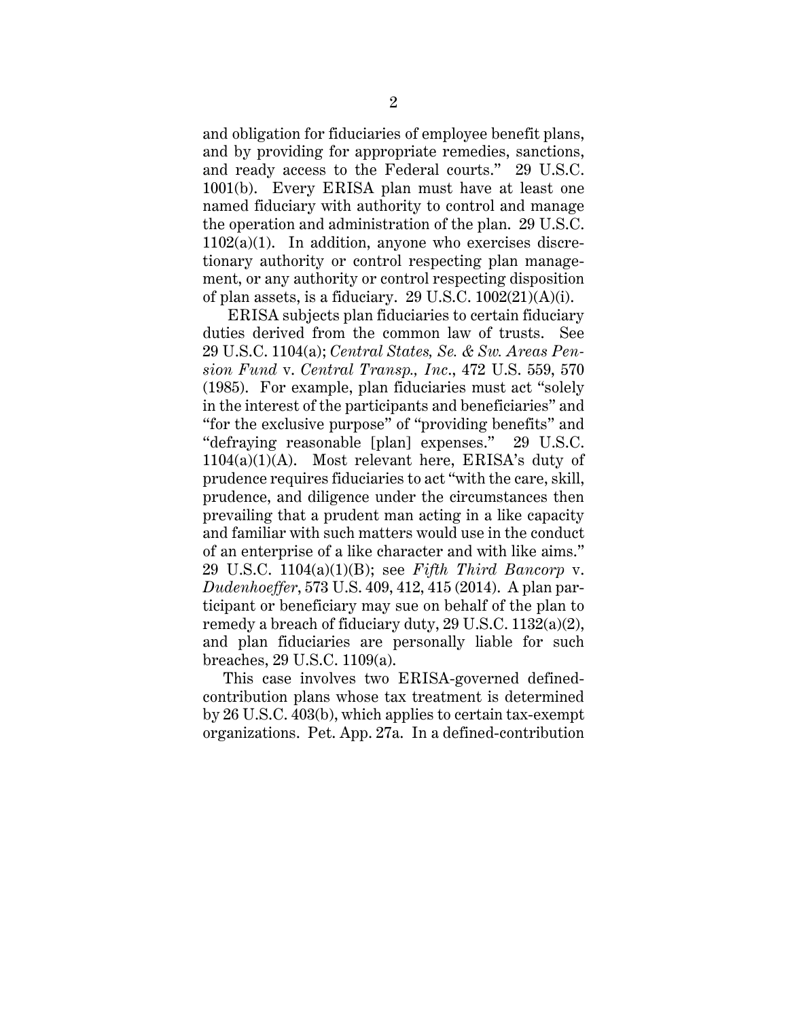and obligation for fiduciaries of employee benefit plans, and by providing for appropriate remedies, sanctions, and ready access to the Federal courts." 29 U.S.C. 1001(b). Every ERISA plan must have at least one named fiduciary with authority to control and manage the operation and administration of the plan. 29 U.S.C.  $1102(a)(1)$ . In addition, anyone who exercises discretionary authority or control respecting plan management, or any authority or control respecting disposition of plan assets, is a fiduciary. 29 U.S.C. 1002(21)(A)(i).

ERISA subjects plan fiduciaries to certain fiduciary duties derived from the common law of trusts. See 29 U.S.C. 1104(a); *Central States, Se. & Sw. Areas Pension Fund* v. *Central Transp., Inc*., 472 U.S. 559, 570 (1985). For example, plan fiduciaries must act "solely in the interest of the participants and beneficiaries" and "for the exclusive purpose" of "providing benefits" and "defraying reasonable [plan] expenses." 29 U.S.C. 1104(a)(1)(A). Most relevant here, ERISA's duty of prudence requires fiduciaries to act "with the care, skill, prudence, and diligence under the circumstances then prevailing that a prudent man acting in a like capacity and familiar with such matters would use in the conduct of an enterprise of a like character and with like aims." 29 U.S.C. 1104(a)(1)(B); see *Fifth Third Bancorp* v. *Dudenhoeffer*, 573 U.S. 409, 412, 415 (2014). A plan participant or beneficiary may sue on behalf of the plan to remedy a breach of fiduciary duty, 29 U.S.C. 1132(a)(2), and plan fiduciaries are personally liable for such breaches, 29 U.S.C. 1109(a).

This case involves two ERISA-governed definedcontribution plans whose tax treatment is determined by 26 U.S.C. 403(b), which applies to certain tax-exempt organizations. Pet. App. 27a. In a defined-contribution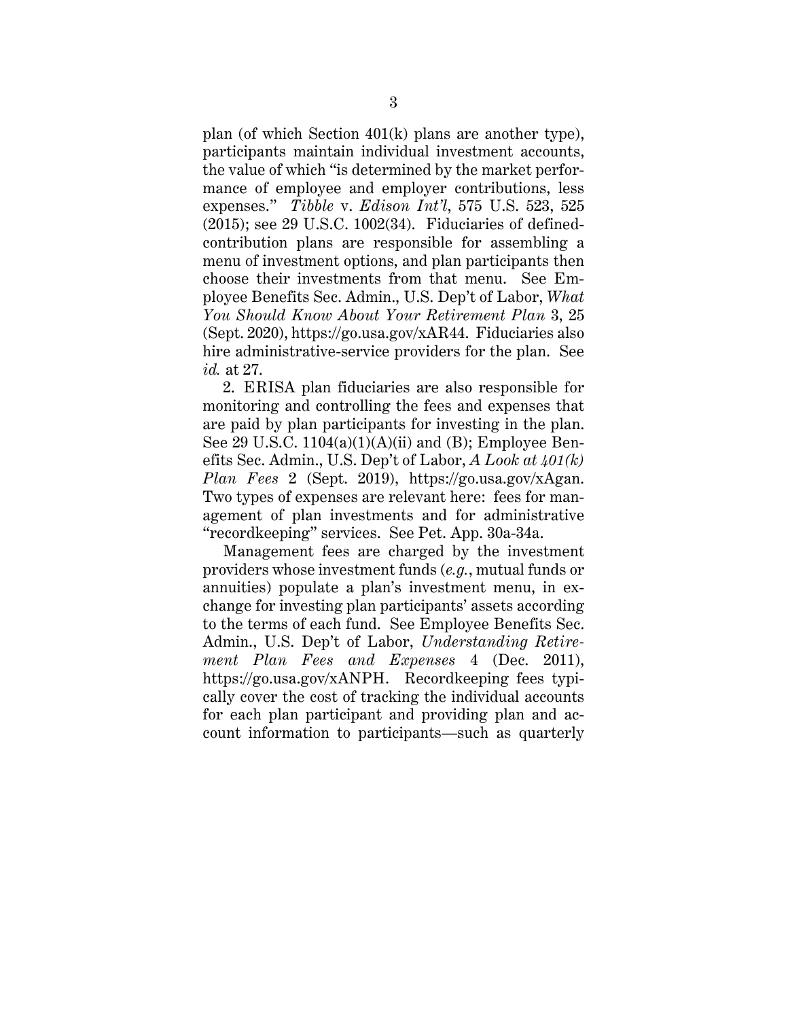plan (of which Section 401(k) plans are another type), participants maintain individual investment accounts, the value of which "is determined by the market performance of employee and employer contributions, less expenses." *Tibble* v. *Edison Int'l*, 575 U.S. 523, 525 (2015); see 29 U.S.C. 1002(34). Fiduciaries of definedcontribution plans are responsible for assembling a menu of investment options, and plan participants then choose their investments from that menu. See Employee Benefits Sec. Admin., U.S. Dep't of Labor, *What You Should Know About Your Retirement Plan* 3, 25 (Sept. 2020), https://go.usa.gov/xAR44. Fiduciaries also hire administrative-service providers for the plan. See *id.* at 27.

2. ERISA plan fiduciaries are also responsible for monitoring and controlling the fees and expenses that are paid by plan participants for investing in the plan. See 29 U.S.C.  $1104(a)(1)(A)(ii)$  and (B); Employee Benefits Sec. Admin., U.S. Dep't of Labor, *A Look at 401(k) Plan Fees* 2 (Sept. 2019), https://go.usa.gov/xAgan. Two types of expenses are relevant here: fees for management of plan investments and for administrative "recordkeeping" services. See Pet. App. 30a-34a.

Management fees are charged by the investment providers whose investment funds (*e.g.*, mutual funds or annuities) populate a plan's investment menu, in exchange for investing plan participants' assets according to the terms of each fund. See Employee Benefits Sec. Admin., U.S. Dep't of Labor, *Understanding Retirement Plan Fees and Expenses* 4 (Dec. 2011), https://go.usa.gov/xANPH. Recordkeeping fees typically cover the cost of tracking the individual accounts for each plan participant and providing plan and account information to participants—such as quarterly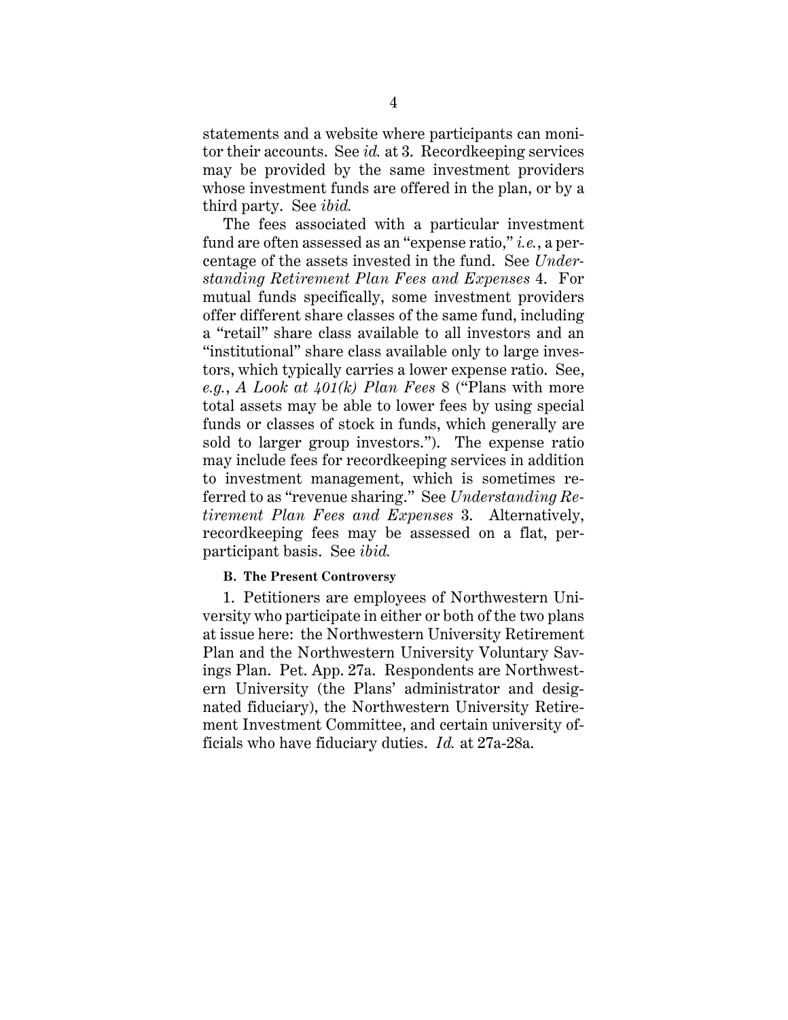statements and a website where participants can monitor their accounts. See *id.* at 3. Recordkeeping services may be provided by the same investment providers whose investment funds are offered in the plan, or by a third party. See *ibid.*

The fees associated with a particular investment fund are often assessed as an "expense ratio," *i.e.*, a percentage of the assets invested in the fund. See *Understanding Retirement Plan Fees and Expenses* 4. For mutual funds specifically, some investment providers offer different share classes of the same fund, including a "retail" share class available to all investors and an "institutional" share class available only to large investors, which typically carries a lower expense ratio. See, *e.g.*, *A Look at 401(k) Plan Fees* 8 ("Plans with more total assets may be able to lower fees by using special funds or classes of stock in funds, which generally are sold to larger group investors."). The expense ratio may include fees for recordkeeping services in addition to investment management, which is sometimes referred to as "revenue sharing." See *Understanding Retirement Plan Fees and Expenses* 3. Alternatively, recordkeeping fees may be assessed on a flat, perparticipant basis. See *ibid.*

#### **B. The Present Controversy**

1. Petitioners are employees of Northwestern University who participate in either or both of the two plans at issue here: the Northwestern University Retirement Plan and the Northwestern University Voluntary Savings Plan. Pet. App. 27a. Respondents are Northwestern University (the Plans' administrator and designated fiduciary), the Northwestern University Retirement Investment Committee, and certain university officials who have fiduciary duties. *Id.* at 27a-28a.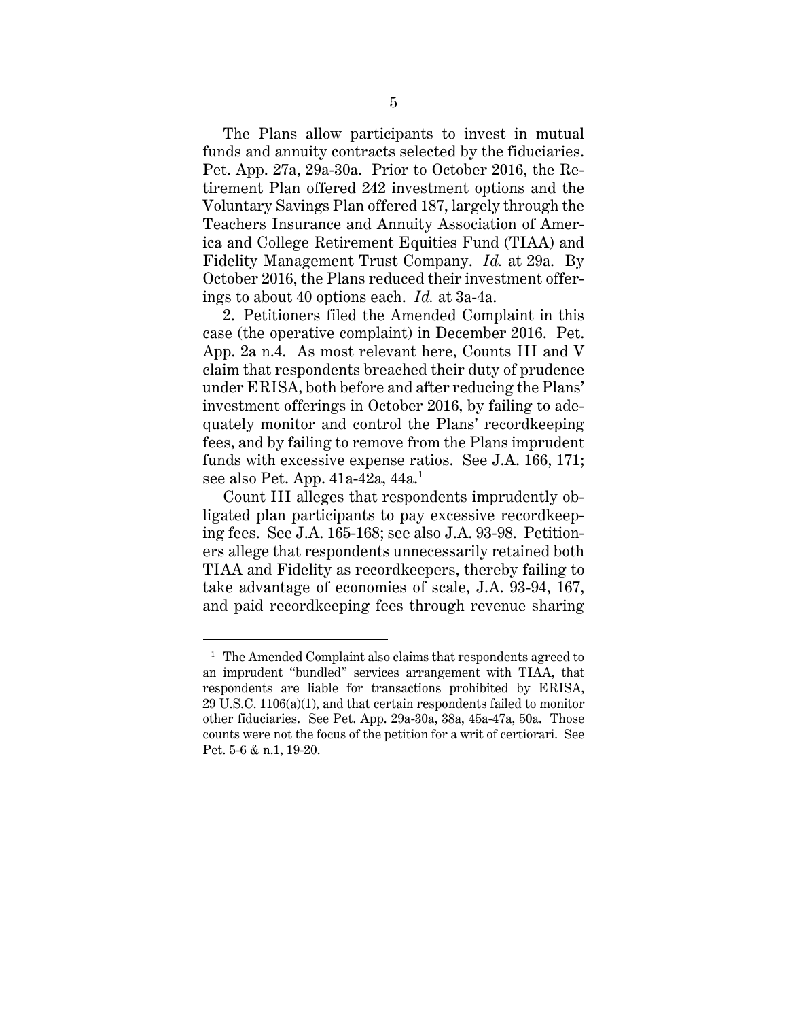The Plans allow participants to invest in mutual funds and annuity contracts selected by the fiduciaries. Pet. App. 27a, 29a-30a. Prior to October 2016, the Retirement Plan offered 242 investment options and the Voluntary Savings Plan offered 187, largely through the Teachers Insurance and Annuity Association of America and College Retirement Equities Fund (TIAA) and Fidelity Management Trust Company. *Id.* at 29a. By October 2016, the Plans reduced their investment offerings to about 40 options each. *Id.* at 3a-4a.

2. Petitioners filed the Amended Complaint in this case (the operative complaint) in December 2016. Pet. App. 2a n.4. As most relevant here, Counts III and V claim that respondents breached their duty of prudence under ERISA, both before and after reducing the Plans' investment offerings in October 2016, by failing to adequately monitor and control the Plans' recordkeeping fees, and by failing to remove from the Plans imprudent funds with excessive expense ratios. See J.A. 166, 171; see also Pet. App. 41a-42a, 44a. 1

Count III alleges that respondents imprudently obligated plan participants to pay excessive recordkeeping fees. See J.A. 165-168; see also J.A. 93-98. Petitioners allege that respondents unnecessarily retained both TIAA and Fidelity as recordkeepers, thereby failing to take advantage of economies of scale, J.A. 93-94, 167, and paid recordkeeping fees through revenue sharing

<sup>&</sup>lt;sup>1</sup> The Amended Complaint also claims that respondents agreed to an imprudent "bundled" services arrangement with TIAA, that respondents are liable for transactions prohibited by ERISA, 29 U.S.C. 1106(a)(1), and that certain respondents failed to monitor other fiduciaries. See Pet. App. 29a-30a, 38a, 45a-47a, 50a. Those counts were not the focus of the petition for a writ of certiorari. See Pet. 5-6 & n.1, 19-20.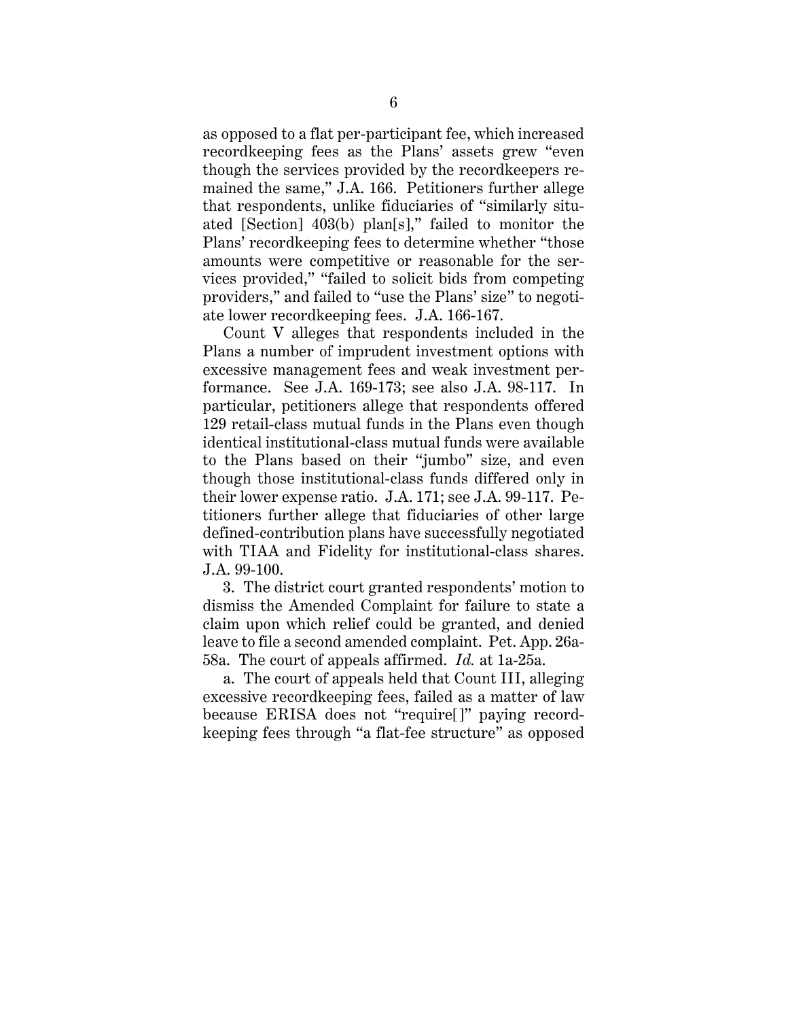as opposed to a flat per-participant fee, which increased recordkeeping fees as the Plans' assets grew "even though the services provided by the recordkeepers remained the same," J.A. 166. Petitioners further allege that respondents, unlike fiduciaries of "similarly situated [Section] 403(b) plan[s]," failed to monitor the Plans' recordkeeping fees to determine whether "those amounts were competitive or reasonable for the services provided," "failed to solicit bids from competing providers," and failed to "use the Plans' size" to negotiate lower recordkeeping fees. J.A. 166-167.

Count V alleges that respondents included in the Plans a number of imprudent investment options with excessive management fees and weak investment performance. See J.A. 169-173; see also J.A. 98-117. In particular, petitioners allege that respondents offered 129 retail-class mutual funds in the Plans even though identical institutional-class mutual funds were available to the Plans based on their "jumbo" size, and even though those institutional-class funds differed only in their lower expense ratio. J.A. 171; see J.A. 99-117. Petitioners further allege that fiduciaries of other large defined-contribution plans have successfully negotiated with TIAA and Fidelity for institutional-class shares. J.A. 99-100.

3. The district court granted respondents' motion to dismiss the Amended Complaint for failure to state a claim upon which relief could be granted, and denied leave to file a second amended complaint. Pet. App. 26a-58a. The court of appeals affirmed. *Id.* at 1a-25a.

a. The court of appeals held that Count III, alleging excessive recordkeeping fees, failed as a matter of law because ERISA does not "require[]" paying recordkeeping fees through "a flat-fee structure" as opposed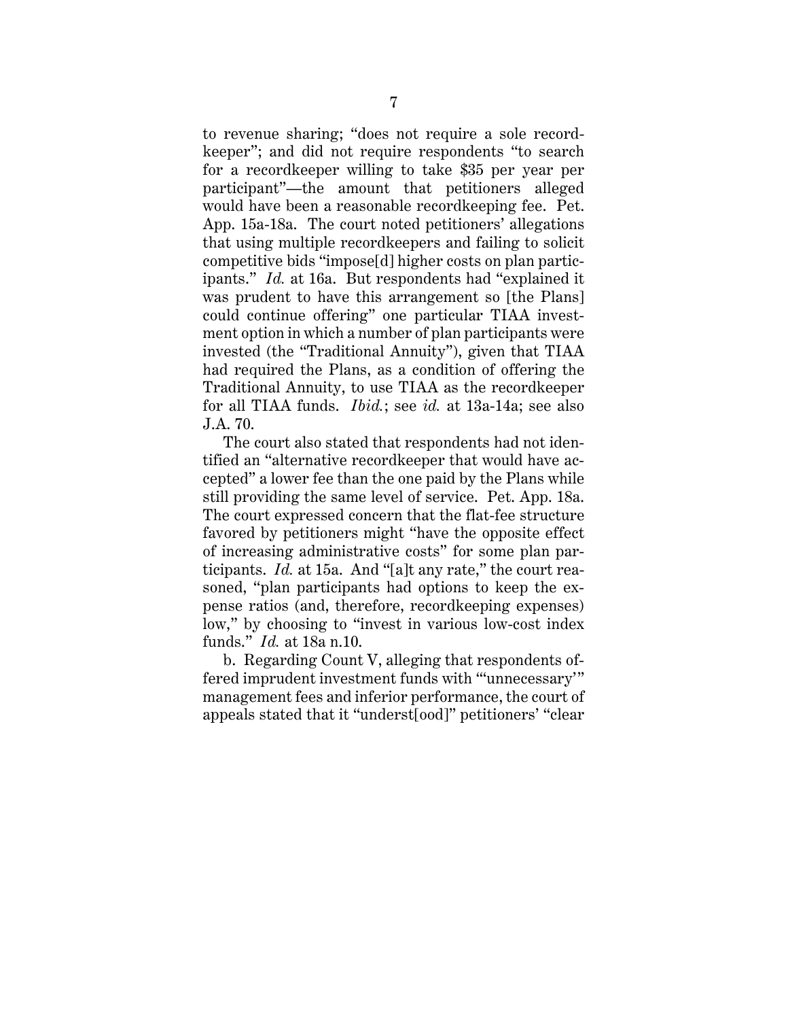to revenue sharing; "does not require a sole recordkeeper"; and did not require respondents "to search for a recordkeeper willing to take \$35 per year per participant"—the amount that petitioners alleged would have been a reasonable recordkeeping fee. Pet. App. 15a-18a. The court noted petitioners' allegations that using multiple recordkeepers and failing to solicit competitive bids "impose[d] higher costs on plan participants." *Id.* at 16a. But respondents had "explained it was prudent to have this arrangement so [the Plans] could continue offering" one particular TIAA investment option in which a number of plan participants were invested (the "Traditional Annuity"), given that TIAA had required the Plans, as a condition of offering the Traditional Annuity, to use TIAA as the recordkeeper for all TIAA funds. *Ibid.*; see *id.* at 13a-14a; see also J.A. 70.

The court also stated that respondents had not identified an "alternative recordkeeper that would have accepted" a lower fee than the one paid by the Plans while still providing the same level of service. Pet. App. 18a. The court expressed concern that the flat-fee structure favored by petitioners might "have the opposite effect of increasing administrative costs" for some plan participants. *Id.* at 15a. And "[a]t any rate," the court reasoned, "plan participants had options to keep the expense ratios (and, therefore, recordkeeping expenses) low," by choosing to "invest in various low-cost index funds." *Id.* at 18a n.10.

b. Regarding Count V, alleging that respondents offered imprudent investment funds with "'unnecessary'" management fees and inferior performance, the court of appeals stated that it "underst[ood]" petitioners' "clear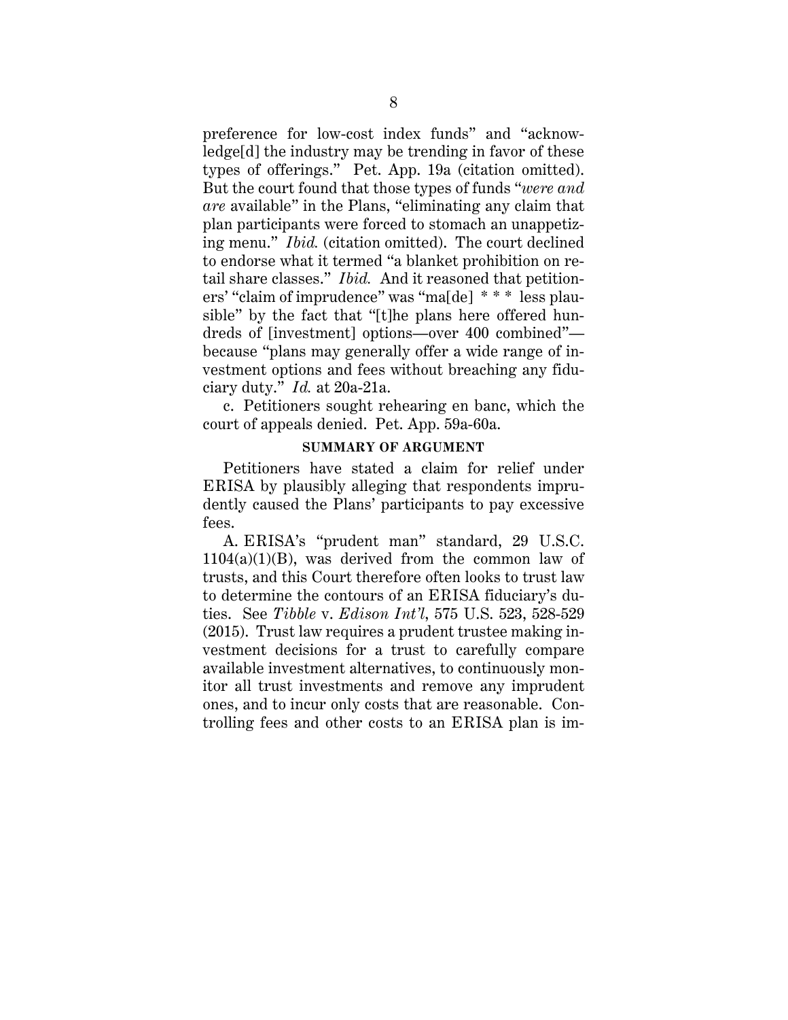preference for low-cost index funds" and "acknowledge[d] the industry may be trending in favor of these types of offerings." Pet. App. 19a (citation omitted). But the court found that those types of funds "*were and are* available" in the Plans, "eliminating any claim that plan participants were forced to stomach an unappetizing menu." *Ibid.* (citation omitted). The court declined to endorse what it termed "a blanket prohibition on retail share classes." *Ibid.* And it reasoned that petitioners' "claim of imprudence" was "ma[de] \* \* \* less plausible" by the fact that "[t]he plans here offered hundreds of [investment] options—over 400 combined" because "plans may generally offer a wide range of investment options and fees without breaching any fiduciary duty." *Id.* at 20a-21a.

c. Petitioners sought rehearing en banc, which the court of appeals denied. Pet. App. 59a-60a.

#### **SUMMARY OF ARGUMENT**

Petitioners have stated a claim for relief under ERISA by plausibly alleging that respondents imprudently caused the Plans' participants to pay excessive fees.

A. ERISA's "prudent man" standard, 29 U.S.C.  $1104(a)(1)(B)$ , was derived from the common law of trusts, and this Court therefore often looks to trust law to determine the contours of an ERISA fiduciary's duties. See *Tibble* v. *Edison Int'l*, 575 U.S. 523, 528-529 (2015). Trust law requires a prudent trustee making investment decisions for a trust to carefully compare available investment alternatives, to continuously monitor all trust investments and remove any imprudent ones, and to incur only costs that are reasonable. Controlling fees and other costs to an ERISA plan is im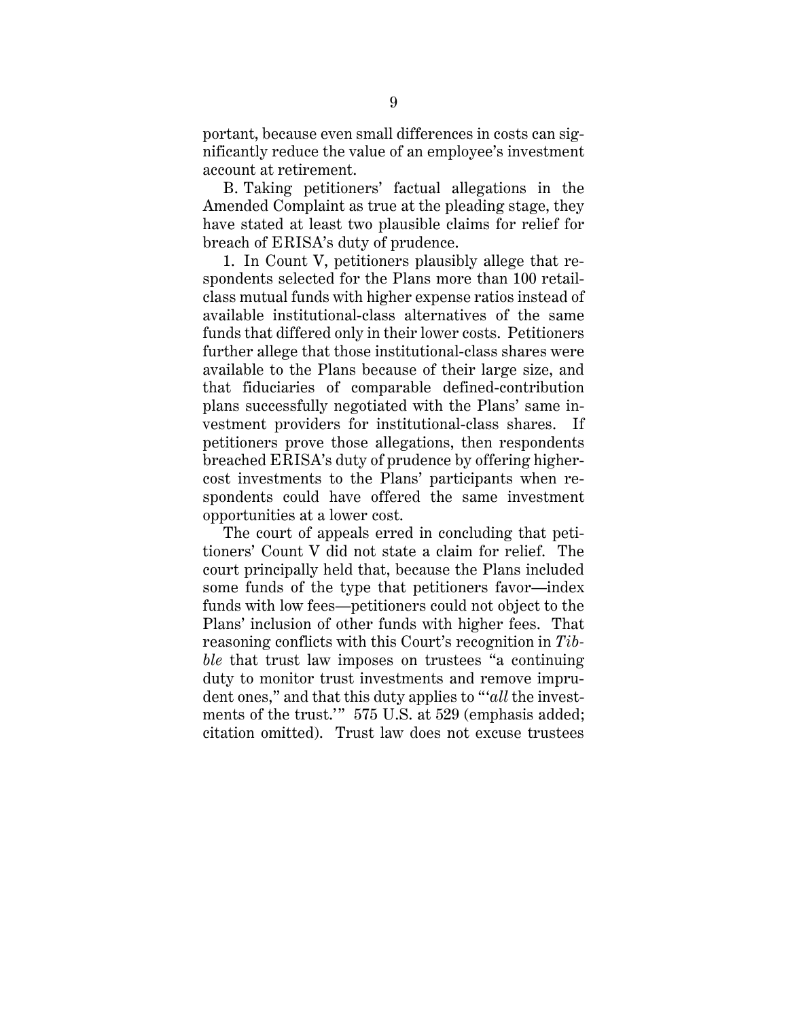portant, because even small differences in costs can significantly reduce the value of an employee's investment account at retirement.

B. Taking petitioners' factual allegations in the Amended Complaint as true at the pleading stage, they have stated at least two plausible claims for relief for breach of ERISA's duty of prudence.

1. In Count V, petitioners plausibly allege that respondents selected for the Plans more than 100 retailclass mutual funds with higher expense ratios instead of available institutional-class alternatives of the same funds that differed only in their lower costs. Petitioners further allege that those institutional-class shares were available to the Plans because of their large size, and that fiduciaries of comparable defined-contribution plans successfully negotiated with the Plans' same investment providers for institutional-class shares. If petitioners prove those allegations, then respondents breached ERISA's duty of prudence by offering highercost investments to the Plans' participants when respondents could have offered the same investment opportunities at a lower cost.

The court of appeals erred in concluding that petitioners' Count V did not state a claim for relief. The court principally held that, because the Plans included some funds of the type that petitioners favor—index funds with low fees—petitioners could not object to the Plans' inclusion of other funds with higher fees. That reasoning conflicts with this Court's recognition in *Tibble* that trust law imposes on trustees "a continuing duty to monitor trust investments and remove imprudent ones," and that this duty applies to "'*all* the investments of the trust." 575 U.S. at 529 (emphasis added; citation omitted). Trust law does not excuse trustees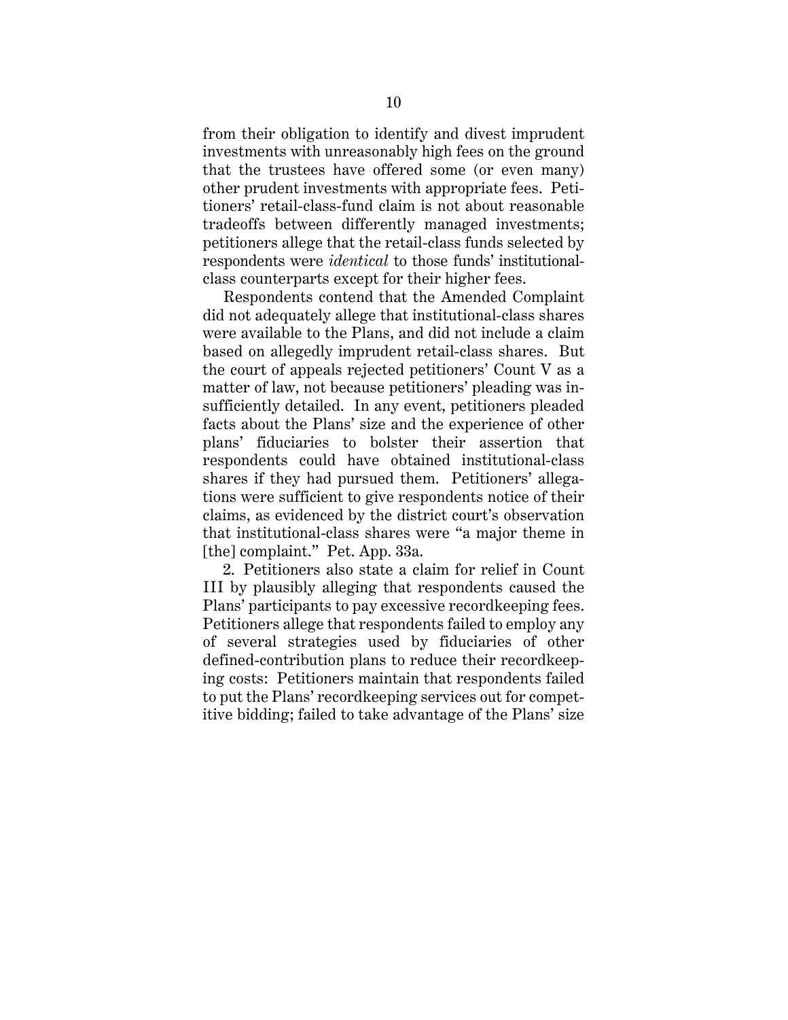from their obligation to identify and divest imprudent investments with unreasonably high fees on the ground that the trustees have offered some (or even many) other prudent investments with appropriate fees. Petitioners' retail-class-fund claim is not about reasonable tradeoffs between differently managed investments; petitioners allege that the retail-class funds selected by respondents were *identical* to those funds' institutionalclass counterparts except for their higher fees.

Respondents contend that the Amended Complaint did not adequately allege that institutional-class shares were available to the Plans, and did not include a claim based on allegedly imprudent retail-class shares. But the court of appeals rejected petitioners' Count V as a matter of law, not because petitioners' pleading was insufficiently detailed. In any event, petitioners pleaded facts about the Plans' size and the experience of other plans' fiduciaries to bolster their assertion that respondents could have obtained institutional-class shares if they had pursued them. Petitioners' allegations were sufficient to give respondents notice of their claims, as evidenced by the district court's observation that institutional-class shares were "a major theme in [the] complaint." Pet. App. 33a.

2. Petitioners also state a claim for relief in Count III by plausibly alleging that respondents caused the Plans' participants to pay excessive recordkeeping fees. Petitioners allege that respondents failed to employ any of several strategies used by fiduciaries of other defined-contribution plans to reduce their recordkeeping costs: Petitioners maintain that respondents failed to put the Plans' recordkeeping services out for competitive bidding; failed to take advantage of the Plans' size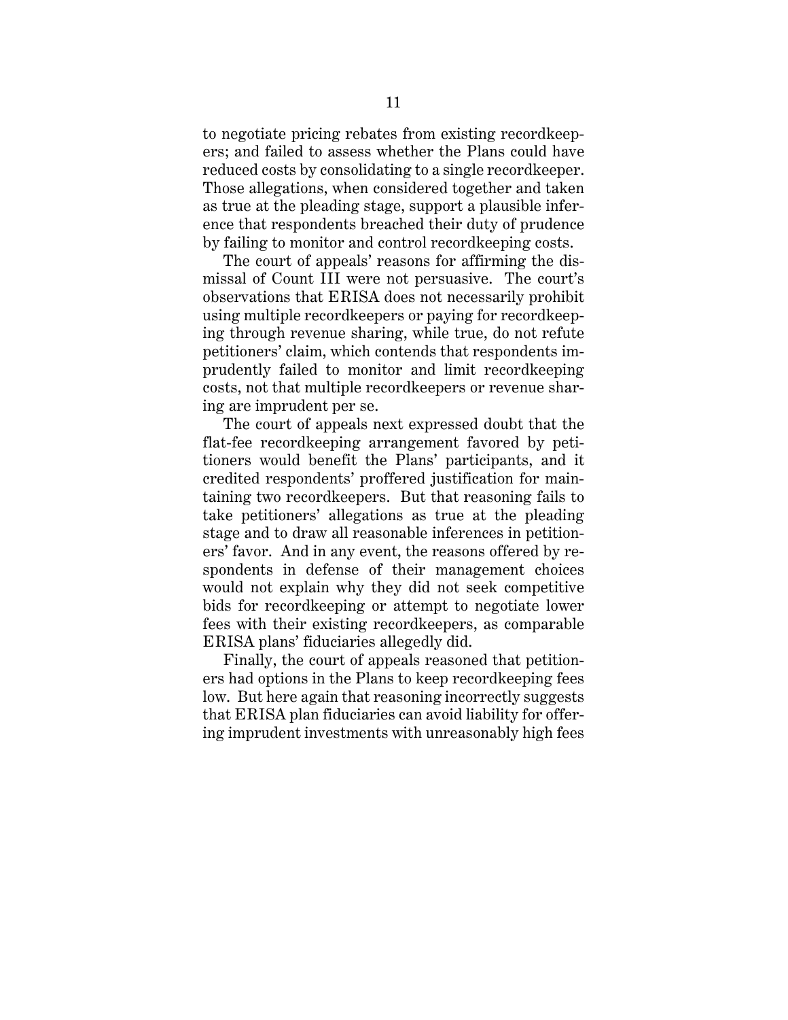to negotiate pricing rebates from existing recordkeepers; and failed to assess whether the Plans could have reduced costs by consolidating to a single recordkeeper. Those allegations, when considered together and taken as true at the pleading stage, support a plausible inference that respondents breached their duty of prudence by failing to monitor and control recordkeeping costs.

The court of appeals' reasons for affirming the dismissal of Count III were not persuasive. The court's observations that ERISA does not necessarily prohibit using multiple recordkeepers or paying for recordkeeping through revenue sharing, while true, do not refute petitioners' claim, which contends that respondents imprudently failed to monitor and limit recordkeeping costs, not that multiple recordkeepers or revenue sharing are imprudent per se.

The court of appeals next expressed doubt that the flat-fee recordkeeping arrangement favored by petitioners would benefit the Plans' participants, and it credited respondents' proffered justification for maintaining two recordkeepers. But that reasoning fails to take petitioners' allegations as true at the pleading stage and to draw all reasonable inferences in petitioners' favor. And in any event, the reasons offered by respondents in defense of their management choices would not explain why they did not seek competitive bids for recordkeeping or attempt to negotiate lower fees with their existing recordkeepers, as comparable ERISA plans' fiduciaries allegedly did.

Finally, the court of appeals reasoned that petitioners had options in the Plans to keep recordkeeping fees low. But here again that reasoning incorrectly suggests that ERISA plan fiduciaries can avoid liability for offering imprudent investments with unreasonably high fees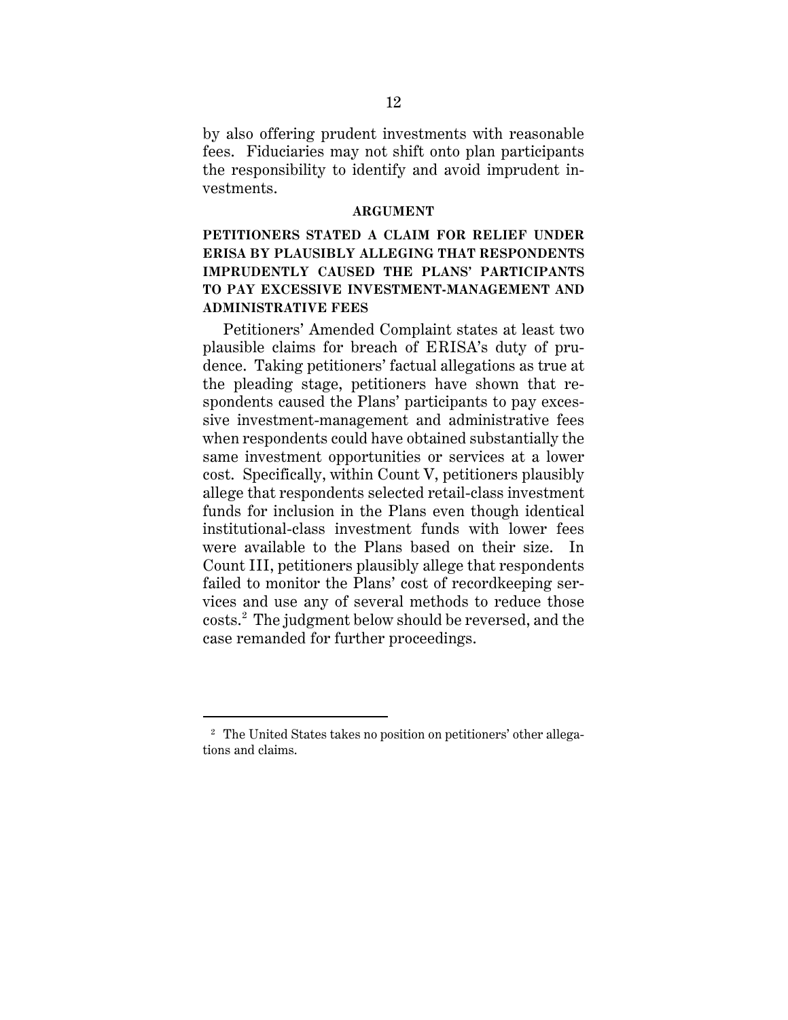by also offering prudent investments with reasonable fees. Fiduciaries may not shift onto plan participants the responsibility to identify and avoid imprudent investments.

#### **ARGUMENT**

# **PETITIONERS STATED A CLAIM FOR RELIEF UNDER ERISA BY PLAUSIBLY ALLEGING THAT RESPONDENTS IMPRUDENTLY CAUSED THE PLANS' PARTICIPANTS TO PAY EXCESSIVE INVESTMENT-MANAGEMENT AND ADMINISTRATIVE FEES**

Petitioners' Amended Complaint states at least two plausible claims for breach of ERISA's duty of prudence. Taking petitioners' factual allegations as true at the pleading stage, petitioners have shown that respondents caused the Plans' participants to pay excessive investment-management and administrative fees when respondents could have obtained substantially the same investment opportunities or services at a lower cost. Specifically, within Count V, petitioners plausibly allege that respondents selected retail-class investment funds for inclusion in the Plans even though identical institutional-class investment funds with lower fees were available to the Plans based on their size. In Count III, petitioners plausibly allege that respondents failed to monitor the Plans' cost of recordkeeping services and use any of several methods to reduce those costs. 2 The judgment below should be reversed, and the case remanded for further proceedings.

<sup>2</sup> The United States takes no position on petitioners' other allegations and claims.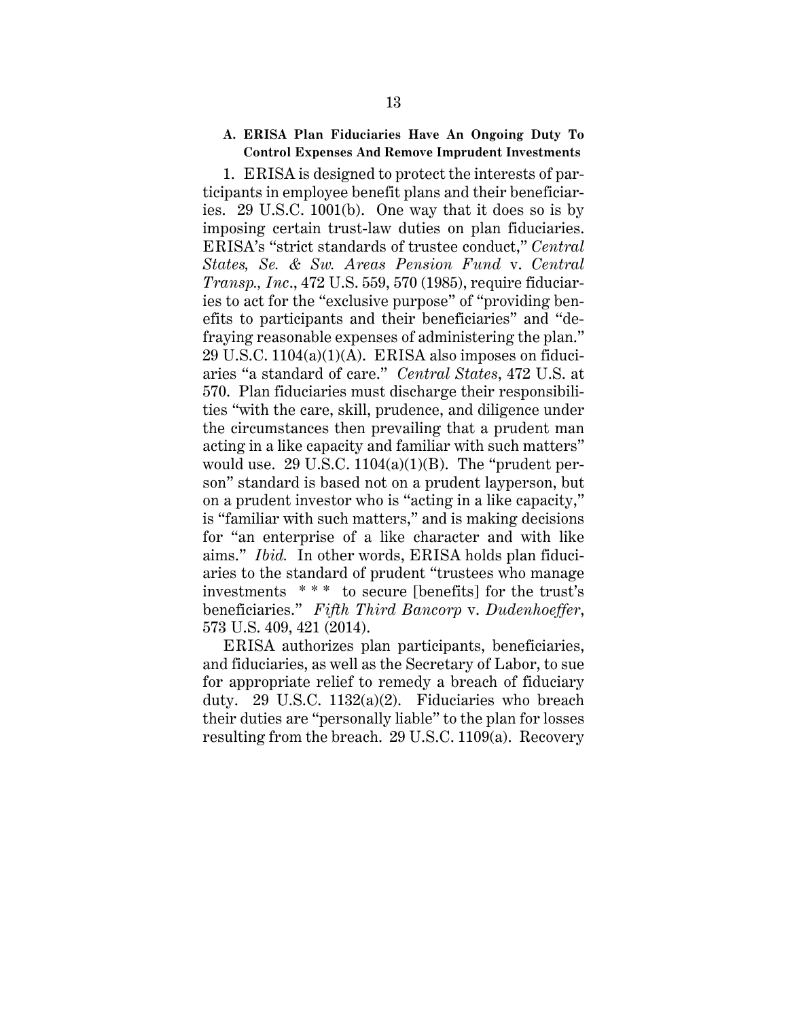#### **A. ERISA Plan Fiduciaries Have An Ongoing Duty To Control Expenses And Remove Imprudent Investments**

1. ERISA is designed to protect the interests of participants in employee benefit plans and their beneficiaries. 29 U.S.C. 1001(b). One way that it does so is by imposing certain trust-law duties on plan fiduciaries. ERISA's "strict standards of trustee conduct," *Central States, Se. & Sw. Areas Pension Fund* v. *Central Transp., Inc*., 472 U.S. 559, 570 (1985), require fiduciaries to act for the "exclusive purpose" of "providing benefits to participants and their beneficiaries" and "defraying reasonable expenses of administering the plan."  $29$  U.S.C.  $1104(a)(1)(A)$ . ERISA also imposes on fiduciaries "a standard of care." *Central States*, 472 U.S. at 570. Plan fiduciaries must discharge their responsibilities "with the care, skill, prudence, and diligence under the circumstances then prevailing that a prudent man acting in a like capacity and familiar with such matters" would use. 29 U.S.C.  $1104(a)(1)(B)$ . The "prudent person" standard is based not on a prudent layperson, but on a prudent investor who is "acting in a like capacity," is "familiar with such matters," and is making decisions for "an enterprise of a like character and with like aims." *Ibid.* In other words, ERISA holds plan fiduciaries to the standard of prudent "trustees who manage investments \* \* \* to secure [benefits] for the trust's beneficiaries." *Fifth Third Bancorp* v. *Dudenhoeffer*, 573 U.S. 409, 421 (2014).

ERISA authorizes plan participants, beneficiaries, and fiduciaries, as well as the Secretary of Labor, to sue for appropriate relief to remedy a breach of fiduciary duty. 29 U.S.C. 1132(a)(2). Fiduciaries who breach their duties are "personally liable" to the plan for losses resulting from the breach. 29 U.S.C. 1109(a). Recovery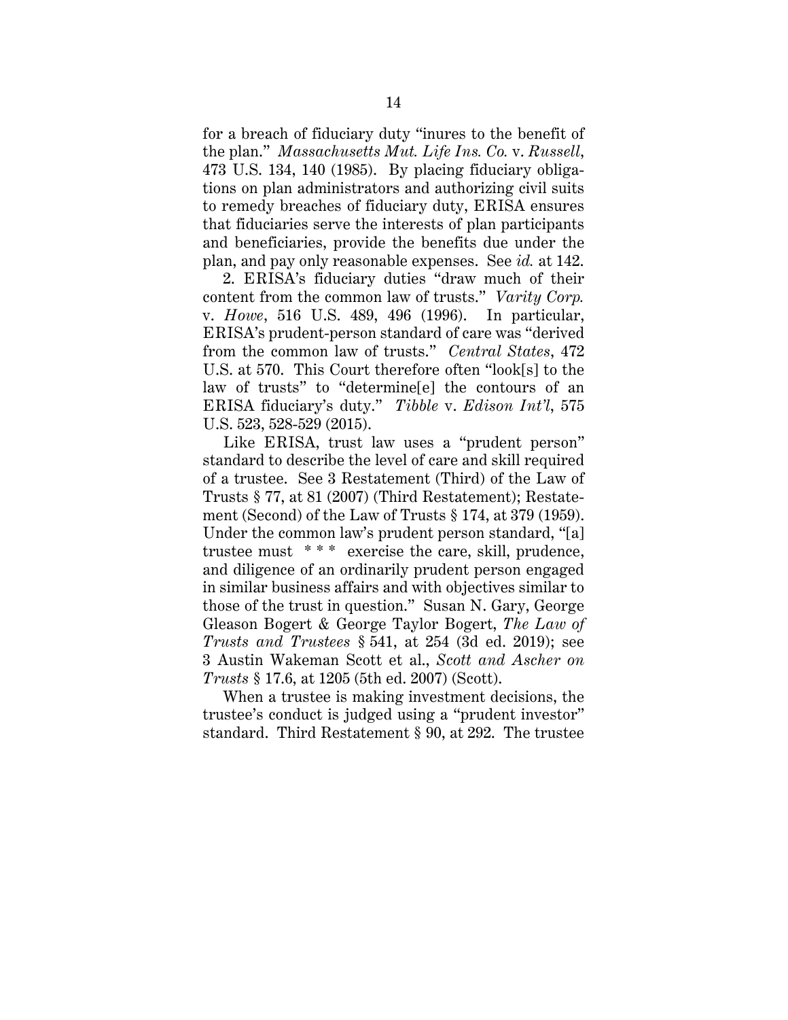for a breach of fiduciary duty "inures to the benefit of the plan." *Massachusetts Mut. Life Ins. Co.* v. *Russell*, 473 U.S. 134, 140 (1985). By placing fiduciary obligations on plan administrators and authorizing civil suits to remedy breaches of fiduciary duty, ERISA ensures that fiduciaries serve the interests of plan participants and beneficiaries, provide the benefits due under the plan, and pay only reasonable expenses. See *id.* at 142.

2. ERISA's fiduciary duties "draw much of their content from the common law of trusts." *Varity Corp.*  v. *Howe*, 516 U.S. 489, 496 (1996). In particular, ERISA's prudent-person standard of care was "derived from the common law of trusts." *Central States*, 472 U.S. at 570. This Court therefore often "look[s] to the law of trusts" to "determine[e] the contours of an ERISA fiduciary's duty." *Tibble* v. *Edison Int'l*, 575 U.S. 523, 528-529 (2015).

Like ERISA, trust law uses a "prudent person" standard to describe the level of care and skill required of a trustee. See 3 Restatement (Third) of the Law of Trusts § 77, at 81 (2007) (Third Restatement); Restatement (Second) of the Law of Trusts § 174, at 379 (1959). Under the common law's prudent person standard, "[a] trustee must \* \* \* exercise the care, skill, prudence, and diligence of an ordinarily prudent person engaged in similar business affairs and with objectives similar to those of the trust in question." Susan N. Gary, George Gleason Bogert & George Taylor Bogert, *The Law of Trusts and Trustees* § 541, at 254 (3d ed. 2019); see 3 Austin Wakeman Scott et al., *Scott and Ascher on Trusts* § 17.6, at 1205 (5th ed. 2007) (Scott).

When a trustee is making investment decisions, the trustee's conduct is judged using a "prudent investor" standard. Third Restatement § 90, at 292. The trustee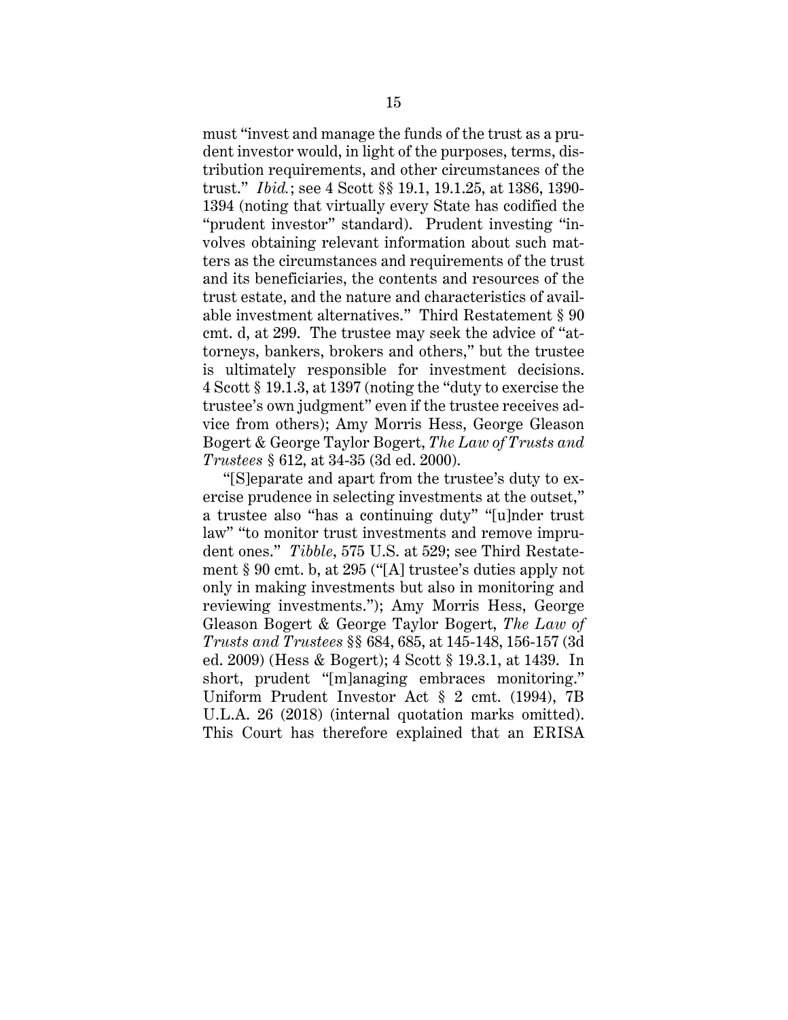must "invest and manage the funds of the trust as a prudent investor would, in light of the purposes, terms, distribution requirements, and other circumstances of the trust." *Ibid.*; see 4 Scott §§ 19.1, 19.1.25, at 1386, 1390- 1394 (noting that virtually every State has codified the "prudent investor" standard). Prudent investing "involves obtaining relevant information about such matters as the circumstances and requirements of the trust and its beneficiaries, the contents and resources of the trust estate, and the nature and characteristics of available investment alternatives." Third Restatement § 90 cmt. d, at 299. The trustee may seek the advice of "attorneys, bankers, brokers and others," but the trustee is ultimately responsible for investment decisions. 4 Scott § 19.1.3, at 1397 (noting the "duty to exercise the trustee's own judgment" even if the trustee receives advice from others); Amy Morris Hess, George Gleason Bogert & George Taylor Bogert, *The Law of Trusts and Trustees* § 612, at 34-35 (3d ed. 2000).

"[S]eparate and apart from the trustee's duty to exercise prudence in selecting investments at the outset," a trustee also "has a continuing duty" "[u]nder trust law" "to monitor trust investments and remove imprudent ones." *Tibble*, 575 U.S. at 529; see Third Restatement § 90 cmt. b, at 295 ("[A] trustee's duties apply not only in making investments but also in monitoring and reviewing investments."); Amy Morris Hess, George Gleason Bogert & George Taylor Bogert, *The Law of Trusts and Trustees* §§ 684, 685, at 145-148, 156-157 (3d ed. 2009) (Hess & Bogert); 4 Scott § 19.3.1, at 1439. In short, prudent "[m]anaging embraces monitoring." Uniform Prudent Investor Act § 2 cmt. (1994), 7B U.L.A. 26 (2018) (internal quotation marks omitted). This Court has therefore explained that an ERISA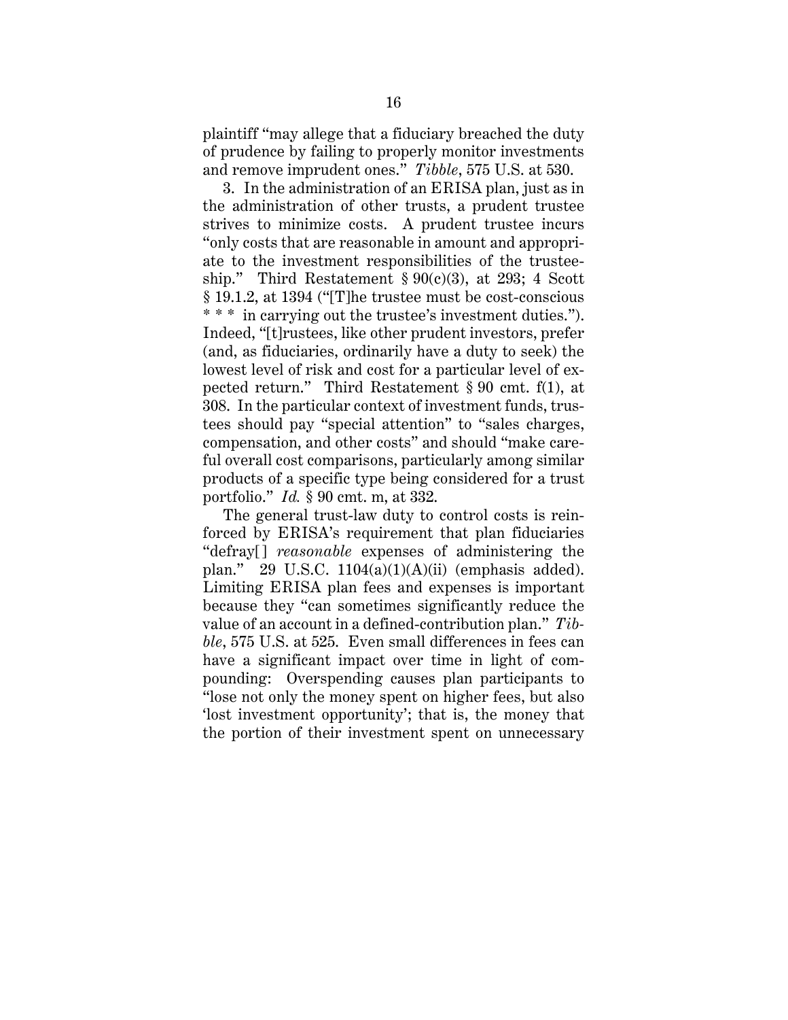plaintiff "may allege that a fiduciary breached the duty of prudence by failing to properly monitor investments and remove imprudent ones." *Tibble*, 575 U.S. at 530.

3. In the administration of an ERISA plan, just as in the administration of other trusts, a prudent trustee strives to minimize costs. A prudent trustee incurs "only costs that are reasonable in amount and appropriate to the investment responsibilities of the trusteeship." Third Restatement  $\S 90(c)(3)$ , at 293; 4 Scott § 19.1.2, at 1394 ("[T]he trustee must be cost-conscious \* \* \* in carrying out the trustee's investment duties."). Indeed, "[t]rustees, like other prudent investors, prefer (and, as fiduciaries, ordinarily have a duty to seek) the lowest level of risk and cost for a particular level of expected return." Third Restatement § 90 cmt. f(1), at 308. In the particular context of investment funds, trustees should pay "special attention" to "sales charges, compensation, and other costs" and should "make careful overall cost comparisons, particularly among similar products of a specific type being considered for a trust portfolio." *Id.* § 90 cmt. m, at 332.

The general trust-law duty to control costs is reinforced by ERISA's requirement that plan fiduciaries "defray[] *reasonable* expenses of administering the plan." 29 U.S.C.  $1104(a)(1)(A)(ii)$  (emphasis added). Limiting ERISA plan fees and expenses is important because they "can sometimes significantly reduce the value of an account in a defined-contribution plan." *Tibble*, 575 U.S. at 525. Even small differences in fees can have a significant impact over time in light of compounding: Overspending causes plan participants to "lose not only the money spent on higher fees, but also 'lost investment opportunity'; that is, the money that the portion of their investment spent on unnecessary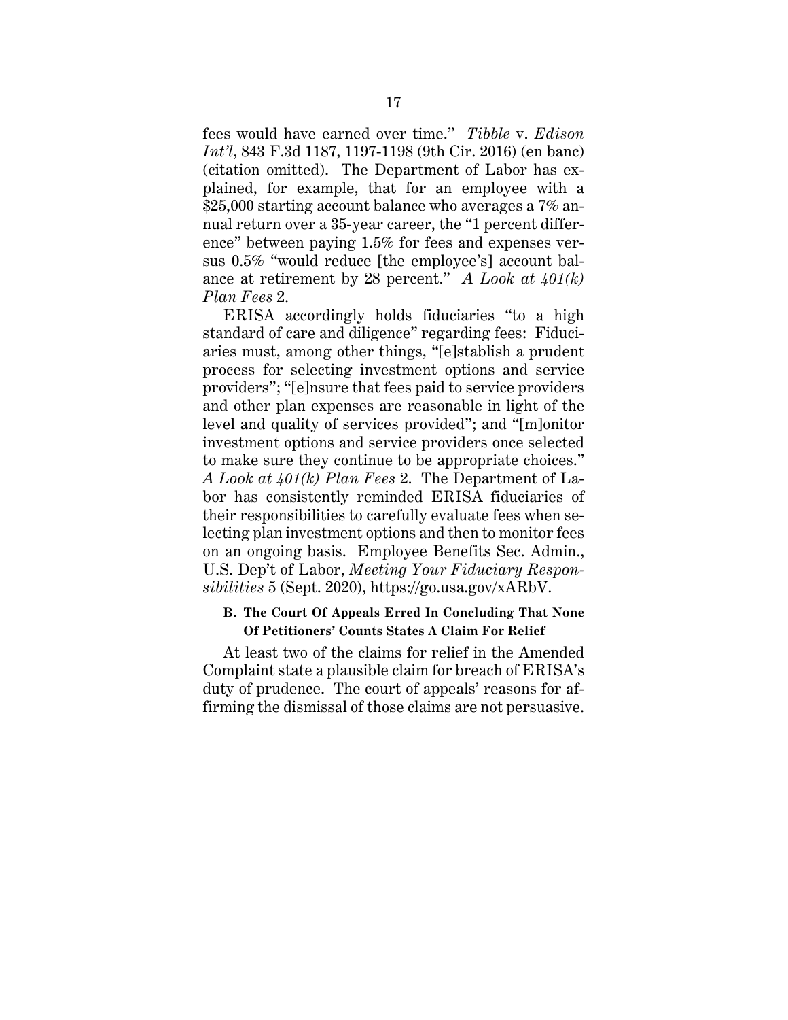fees would have earned over time." *Tibble* v. *Edison Int'l*, 843 F.3d 1187, 1197-1198 (9th Cir. 2016) (en banc) (citation omitted). The Department of Labor has explained, for example, that for an employee with a \$25,000 starting account balance who averages a 7% annual return over a 35-year career, the "1 percent difference" between paying 1.5% for fees and expenses versus 0.5% "would reduce [the employee's] account balance at retirement by 28 percent." *A Look at 401(k) Plan Fees* 2.

ERISA accordingly holds fiduciaries "to a high standard of care and diligence" regarding fees: Fiduciaries must, among other things, "[e]stablish a prudent process for selecting investment options and service providers"; "[e]nsure that fees paid to service providers and other plan expenses are reasonable in light of the level and quality of services provided"; and "[m]onitor investment options and service providers once selected to make sure they continue to be appropriate choices." *A Look at 401(k) Plan Fees* 2. The Department of Labor has consistently reminded ERISA fiduciaries of their responsibilities to carefully evaluate fees when selecting plan investment options and then to monitor fees on an ongoing basis. Employee Benefits Sec. Admin., U.S. Dep't of Labor, *Meeting Your Fiduciary Responsibilities* 5 (Sept. 2020), https://go.usa.gov/xARbV.

# **B. The Court Of Appeals Erred In Concluding That None Of Petitioners' Counts States A Claim For Relief**

At least two of the claims for relief in the Amended Complaint state a plausible claim for breach of ERISA's duty of prudence. The court of appeals' reasons for affirming the dismissal of those claims are not persuasive.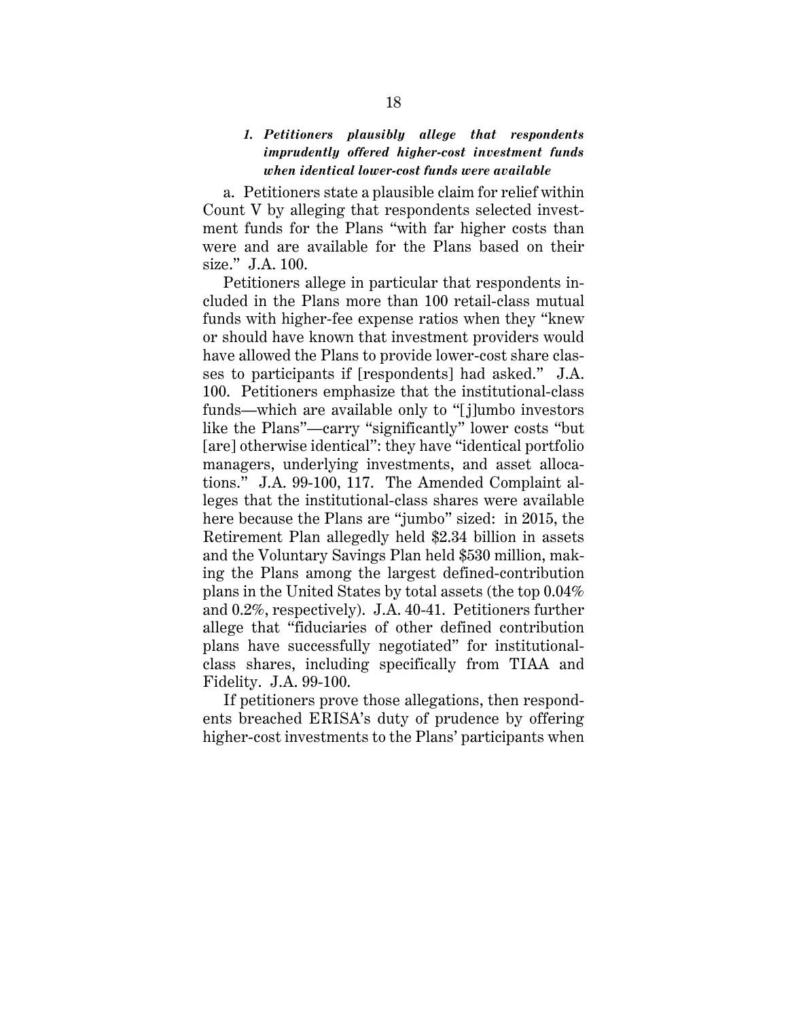# *1. Petitioners plausibly allege that respondents imprudently offered higher-cost investment funds when identical lower-cost funds were available*

a. Petitioners state a plausible claim for relief within Count V by alleging that respondents selected investment funds for the Plans "with far higher costs than were and are available for the Plans based on their size." J.A. 100.

Petitioners allege in particular that respondents included in the Plans more than 100 retail-class mutual funds with higher-fee expense ratios when they "knew or should have known that investment providers would have allowed the Plans to provide lower-cost share classes to participants if [respondents] had asked." J.A. 100. Petitioners emphasize that the institutional-class funds—which are available only to "[j]umbo investors like the Plans"—carry "significantly" lower costs "but [are] otherwise identical": they have "identical portfolio managers, underlying investments, and asset allocations." J.A. 99-100, 117. The Amended Complaint alleges that the institutional-class shares were available here because the Plans are "jumbo" sized: in 2015, the Retirement Plan allegedly held \$2.34 billion in assets and the Voluntary Savings Plan held \$530 million, making the Plans among the largest defined-contribution plans in the United States by total assets (the top 0.04% and 0.2%, respectively). J.A. 40-41. Petitioners further allege that "fiduciaries of other defined contribution plans have successfully negotiated" for institutionalclass shares, including specifically from TIAA and Fidelity. J.A. 99-100.

If petitioners prove those allegations, then respondents breached ERISA's duty of prudence by offering higher-cost investments to the Plans' participants when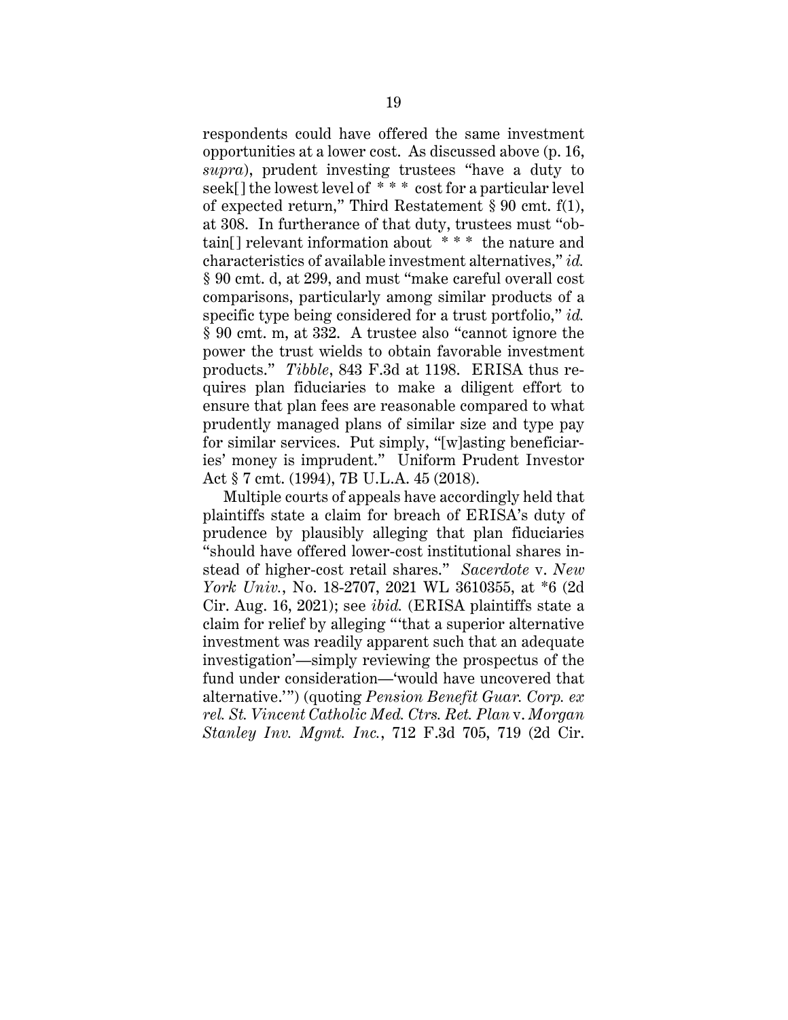respondents could have offered the same investment opportunities at a lower cost. As discussed above (p. 16, *supra*), prudent investing trustees "have a duty to seek[] the lowest level of \* \* \* cost for a particular level of expected return," Third Restatement § 90 cmt. f(1), at 308. In furtherance of that duty, trustees must "obtain[] relevant information about \* \* \* the nature and characteristics of available investment alternatives," *id.*  § 90 cmt. d, at 299, and must "make careful overall cost comparisons, particularly among similar products of a specific type being considered for a trust portfolio," *id.* § 90 cmt. m, at 332. A trustee also "cannot ignore the power the trust wields to obtain favorable investment products." *Tibble*, 843 F.3d at 1198. ERISA thus requires plan fiduciaries to make a diligent effort to ensure that plan fees are reasonable compared to what prudently managed plans of similar size and type pay for similar services. Put simply, "[w]asting beneficiaries' money is imprudent." Uniform Prudent Investor Act § 7 cmt. (1994), 7B U.L.A. 45 (2018).

Multiple courts of appeals have accordingly held that plaintiffs state a claim for breach of ERISA's duty of prudence by plausibly alleging that plan fiduciaries "should have offered lower-cost institutional shares instead of higher-cost retail shares." *Sacerdote* v. *New York Univ.*, No. 18-2707, 2021 WL 3610355, at \*6 (2d Cir. Aug. 16, 2021); see *ibid.* (ERISA plaintiffs state a claim for relief by alleging "'that a superior alternative investment was readily apparent such that an adequate investigation'—simply reviewing the prospectus of the fund under consideration—'would have uncovered that alternative.'") (quoting *Pension Benefit Guar. Corp. ex rel. St. Vincent Catholic Med. Ctrs. Ret. Plan* v. *Morgan Stanley Inv. Mgmt. Inc.*, 712 F.3d 705, 719 (2d Cir.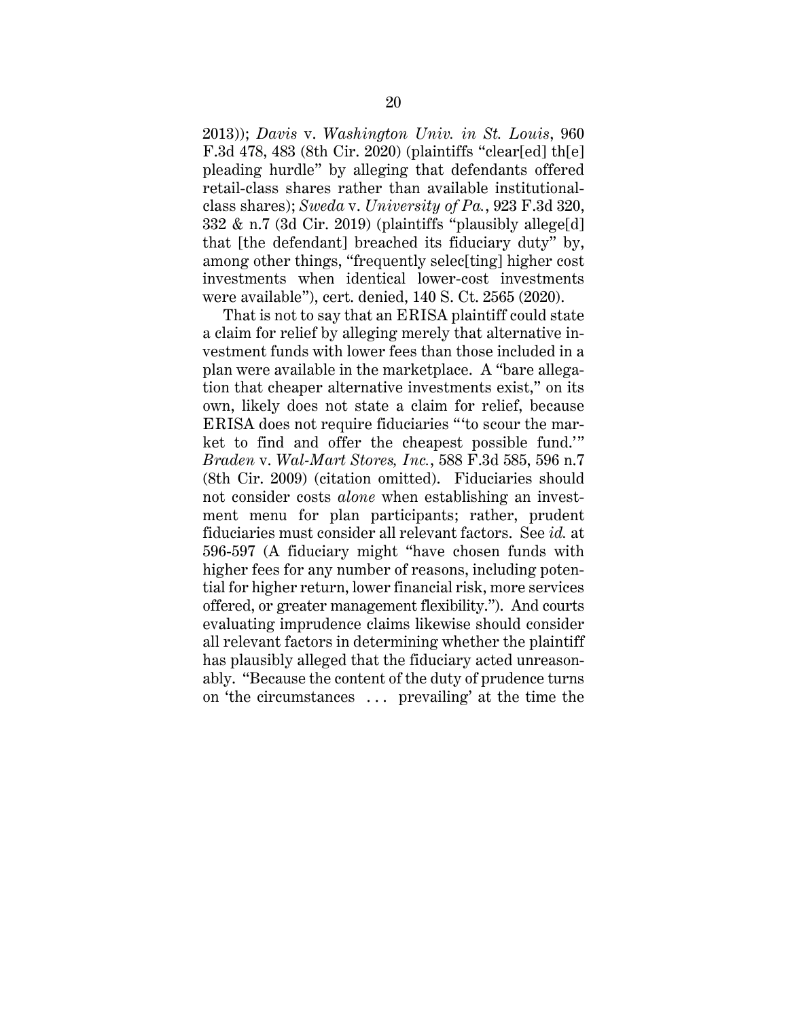2013)); *Davis* v. *Washington Univ. in St. Louis*, 960 F.3d 478, 483 (8th Cir. 2020) (plaintiffs "clear[ed] th[e] pleading hurdle" by alleging that defendants offered retail-class shares rather than available institutionalclass shares); *Sweda* v. *University of Pa.*, 923 F.3d 320, 332 & n.7 (3d Cir. 2019) (plaintiffs "plausibly allege[d] that [the defendant] breached its fiduciary duty" by, among other things, "frequently selec<sup>[ting]</sup> higher cost investments when identical lower-cost investments were available"), cert. denied, 140 S. Ct. 2565 (2020).

That is not to say that an ERISA plaintiff could state a claim for relief by alleging merely that alternative investment funds with lower fees than those included in a plan were available in the marketplace. A "bare allegation that cheaper alternative investments exist," on its own, likely does not state a claim for relief, because ERISA does not require fiduciaries "'to scour the market to find and offer the cheapest possible fund.'" *Braden* v. *Wal-Mart Stores, Inc.*, 588 F.3d 585, 596 n.7 (8th Cir. 2009) (citation omitted). Fiduciaries should not consider costs *alone* when establishing an investment menu for plan participants; rather, prudent fiduciaries must consider all relevant factors. See *id.* at 596-597 (A fiduciary might "have chosen funds with higher fees for any number of reasons, including potential for higher return, lower financial risk, more services offered, or greater management flexibility."). And courts evaluating imprudence claims likewise should consider all relevant factors in determining whether the plaintiff has plausibly alleged that the fiduciary acted unreasonably. "Because the content of the duty of prudence turns on 'the circumstances . . . prevailing' at the time the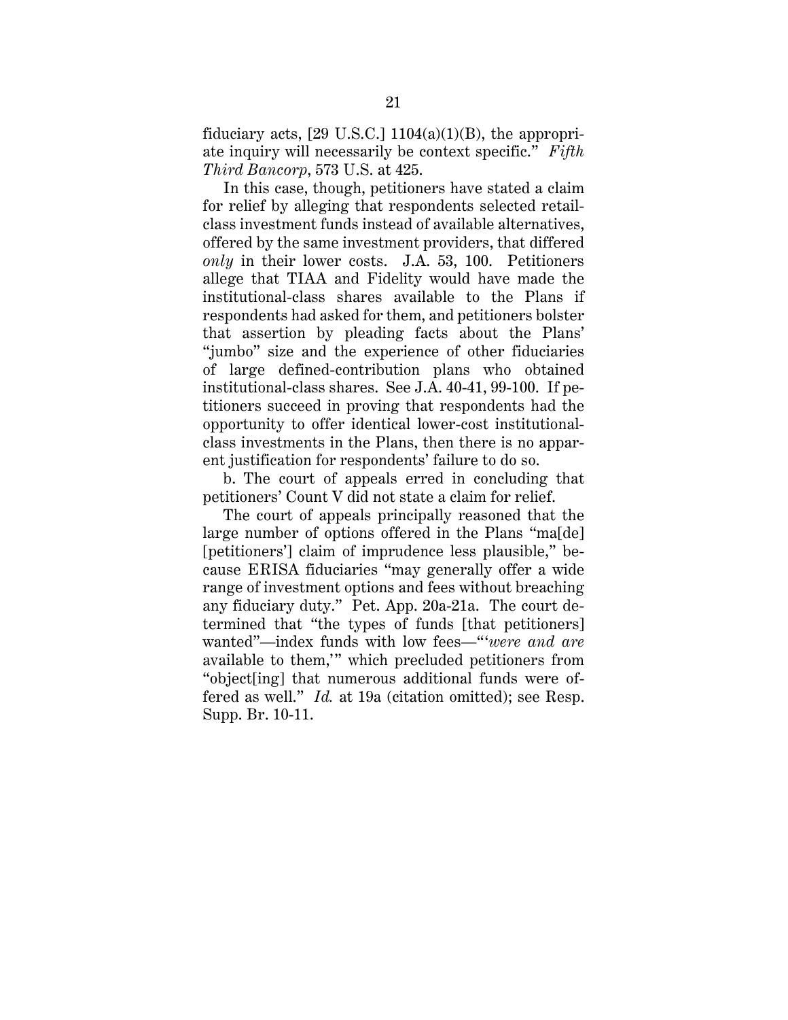fiduciary acts,  $[29 \text{ U.S.C.}] 1104(a)(1)(B)$ , the appropriate inquiry will necessarily be context specific." *Fifth Third Bancorp*, 573 U.S. at 425.

In this case, though, petitioners have stated a claim for relief by alleging that respondents selected retailclass investment funds instead of available alternatives, offered by the same investment providers, that differed *only* in their lower costs. J.A. 53, 100. Petitioners allege that TIAA and Fidelity would have made the institutional-class shares available to the Plans if respondents had asked for them, and petitioners bolster that assertion by pleading facts about the Plans' "jumbo" size and the experience of other fiduciaries of large defined-contribution plans who obtained institutional-class shares. See J.A. 40-41, 99-100. If petitioners succeed in proving that respondents had the opportunity to offer identical lower-cost institutionalclass investments in the Plans, then there is no apparent justification for respondents' failure to do so.

b. The court of appeals erred in concluding that petitioners' Count V did not state a claim for relief.

The court of appeals principally reasoned that the large number of options offered in the Plans "ma[de] [petitioners'] claim of imprudence less plausible," because ERISA fiduciaries "may generally offer a wide range of investment options and fees without breaching any fiduciary duty." Pet. App. 20a-21a. The court determined that "the types of funds [that petitioners] wanted"—index funds with low fees—"'*were and are* available to them,'" which precluded petitioners from "object[ing] that numerous additional funds were offered as well." *Id.* at 19a (citation omitted); see Resp. Supp. Br. 10-11.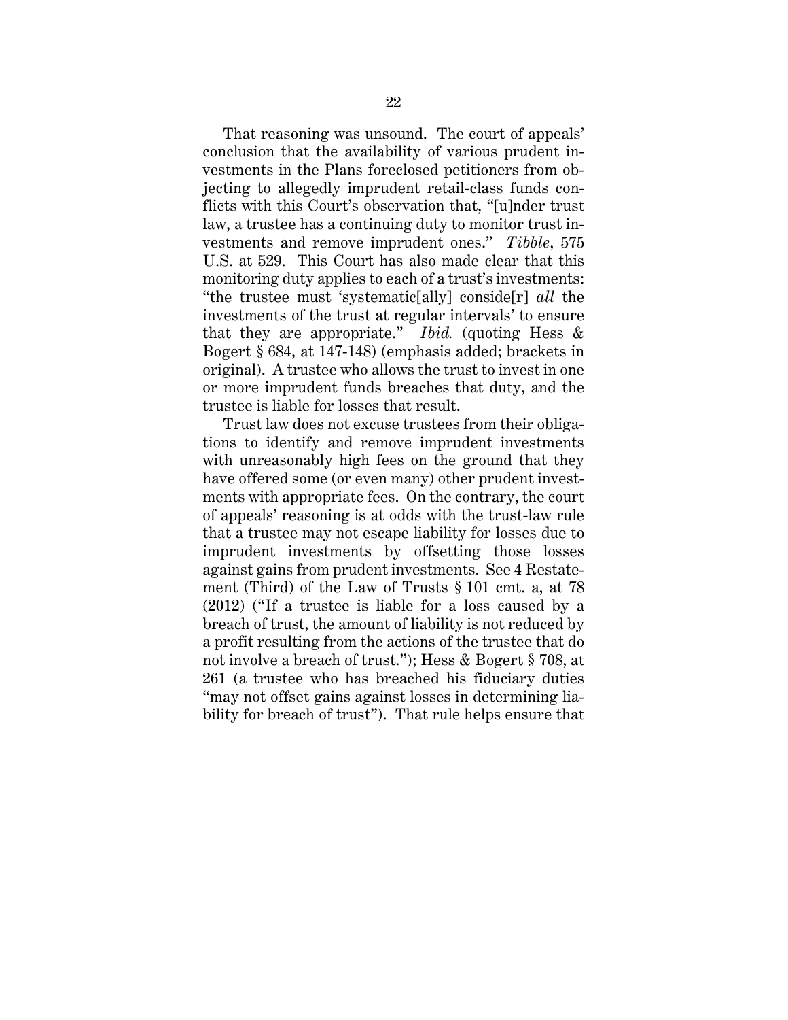That reasoning was unsound. The court of appeals' conclusion that the availability of various prudent investments in the Plans foreclosed petitioners from objecting to allegedly imprudent retail-class funds conflicts with this Court's observation that, "[u]nder trust law, a trustee has a continuing duty to monitor trust investments and remove imprudent ones." *Tibble*, 575 U.S. at 529. This Court has also made clear that this monitoring duty applies to each of a trust's investments: "the trustee must 'systematic[ally] conside[r] *all* the investments of the trust at regular intervals' to ensure that they are appropriate." *Ibid.* (quoting Hess & Bogert § 684, at 147-148) (emphasis added; brackets in original). A trustee who allows the trust to invest in one or more imprudent funds breaches that duty, and the trustee is liable for losses that result.

Trust law does not excuse trustees from their obligations to identify and remove imprudent investments with unreasonably high fees on the ground that they have offered some (or even many) other prudent investments with appropriate fees. On the contrary, the court of appeals' reasoning is at odds with the trust-law rule that a trustee may not escape liability for losses due to imprudent investments by offsetting those losses against gains from prudent investments. See 4 Restatement (Third) of the Law of Trusts § 101 cmt. a, at 78 (2012) ("If a trustee is liable for a loss caused by a breach of trust, the amount of liability is not reduced by a profit resulting from the actions of the trustee that do not involve a breach of trust."); Hess & Bogert § 708, at 261 (a trustee who has breached his fiduciary duties "may not offset gains against losses in determining liability for breach of trust"). That rule helps ensure that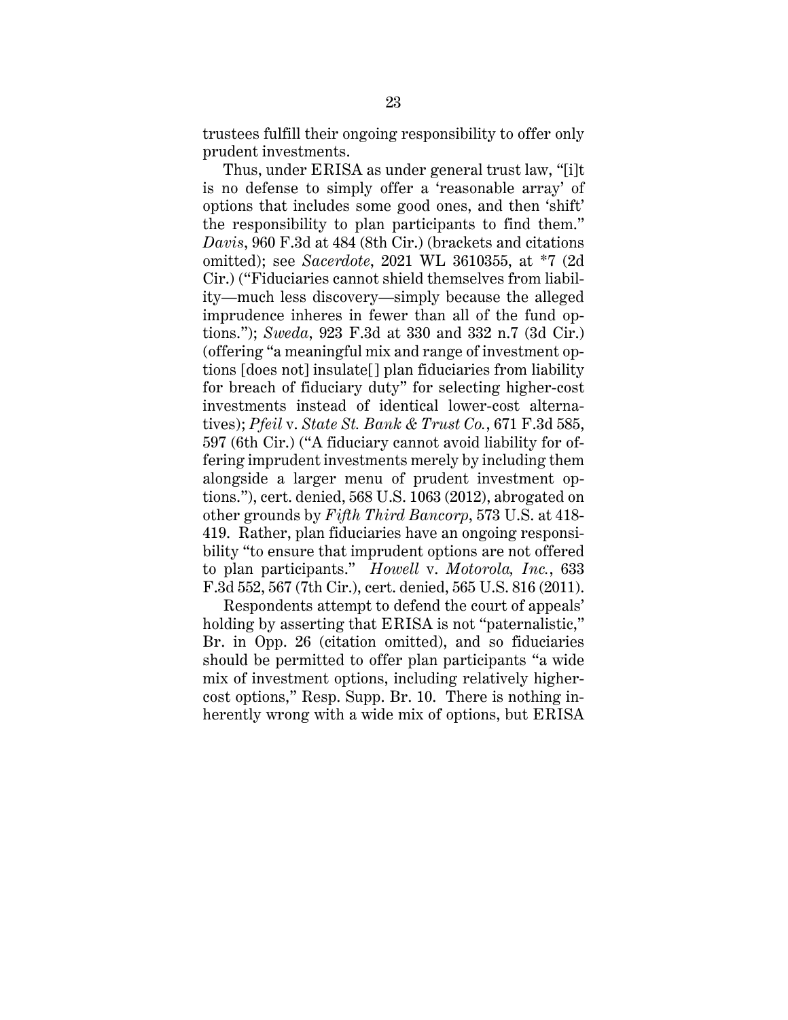trustees fulfill their ongoing responsibility to offer only prudent investments.

Thus, under ERISA as under general trust law, "[i]t is no defense to simply offer a 'reasonable array' of options that includes some good ones, and then 'shift' the responsibility to plan participants to find them." *Davis*, 960 F.3d at 484 (8th Cir.) (brackets and citations omitted); see *Sacerdote*, 2021 WL 3610355, at \*7 (2d Cir.) ("Fiduciaries cannot shield themselves from liability—much less discovery—simply because the alleged imprudence inheres in fewer than all of the fund options."); *Sweda*, 923 F.3d at 330 and 332 n.7 (3d Cir.) (offering "a meaningful mix and range of investment options [does not] insulate[] plan fiduciaries from liability for breach of fiduciary duty" for selecting higher-cost investments instead of identical lower-cost alternatives); *Pfeil* v. *State St. Bank & Trust Co.*, 671 F.3d 585, 597 (6th Cir.) ("A fiduciary cannot avoid liability for offering imprudent investments merely by including them alongside a larger menu of prudent investment options."), cert. denied, 568 U.S. 1063 (2012), abrogated on other grounds by *Fifth Third Bancorp*, 573 U.S. at 418- 419. Rather, plan fiduciaries have an ongoing responsibility "to ensure that imprudent options are not offered to plan participants." *Howell* v. *Motorola, Inc.*, 633 F.3d 552, 567 (7th Cir.), cert. denied, 565 U.S. 816 (2011).

Respondents attempt to defend the court of appeals' holding by asserting that ERISA is not "paternalistic," Br. in Opp. 26 (citation omitted), and so fiduciaries should be permitted to offer plan participants "a wide mix of investment options, including relatively highercost options," Resp. Supp. Br. 10. There is nothing inherently wrong with a wide mix of options, but ERISA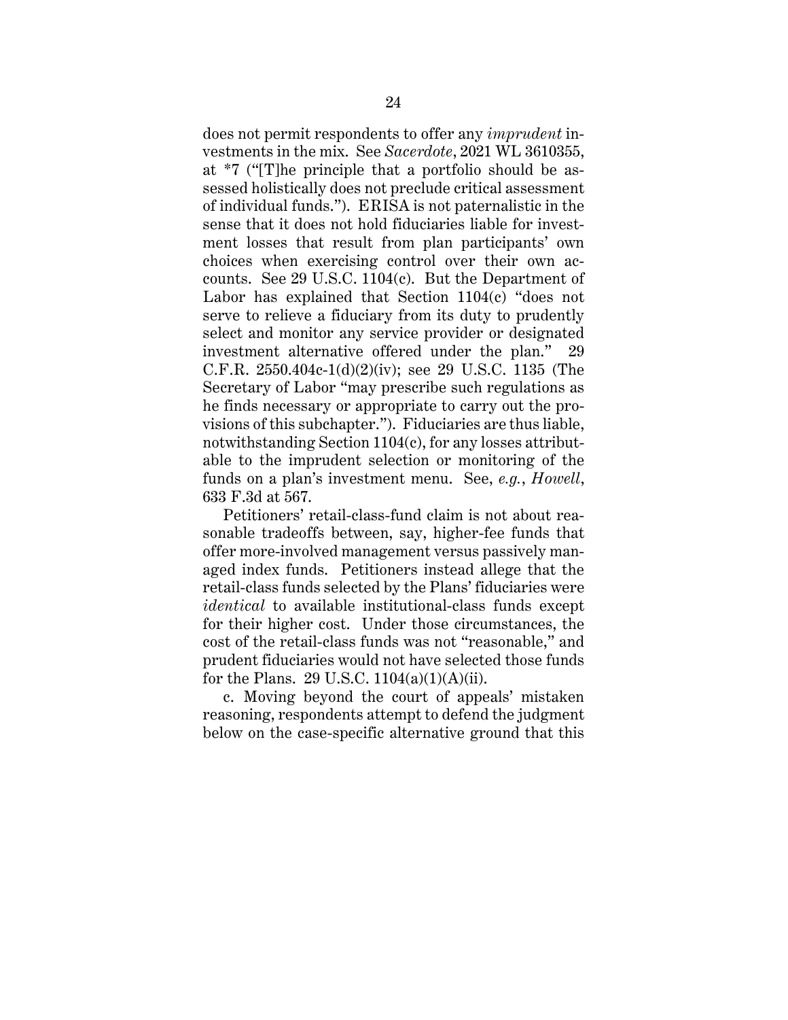does not permit respondents to offer any *imprudent* investments in the mix. See *Sacerdote*, 2021 WL 3610355, at \*7 ("[T]he principle that a portfolio should be assessed holistically does not preclude critical assessment of individual funds."). ERISA is not paternalistic in the sense that it does not hold fiduciaries liable for investment losses that result from plan participants' own choices when exercising control over their own accounts. See 29 U.S.C. 1104(c). But the Department of Labor has explained that Section 1104(c) "does not serve to relieve a fiduciary from its duty to prudently select and monitor any service provider or designated investment alternative offered under the plan." 29 C.F.R. 2550.404c-1(d)(2)(iv); see 29 U.S.C. 1135 (The Secretary of Labor "may prescribe such regulations as he finds necessary or appropriate to carry out the provisions of this subchapter."). Fiduciaries are thus liable, notwithstanding Section 1104(c), for any losses attributable to the imprudent selection or monitoring of the funds on a plan's investment menu. See, *e.g.*, *Howell*, 633 F.3d at 567.

Petitioners' retail-class-fund claim is not about reasonable tradeoffs between, say, higher-fee funds that offer more-involved management versus passively managed index funds. Petitioners instead allege that the retail-class funds selected by the Plans' fiduciaries were *identical* to available institutional-class funds except for their higher cost. Under those circumstances, the cost of the retail-class funds was not "reasonable," and prudent fiduciaries would not have selected those funds for the Plans. 29 U.S.C.  $1104(a)(1)(A)(ii)$ .

c. Moving beyond the court of appeals' mistaken reasoning, respondents attempt to defend the judgment below on the case-specific alternative ground that this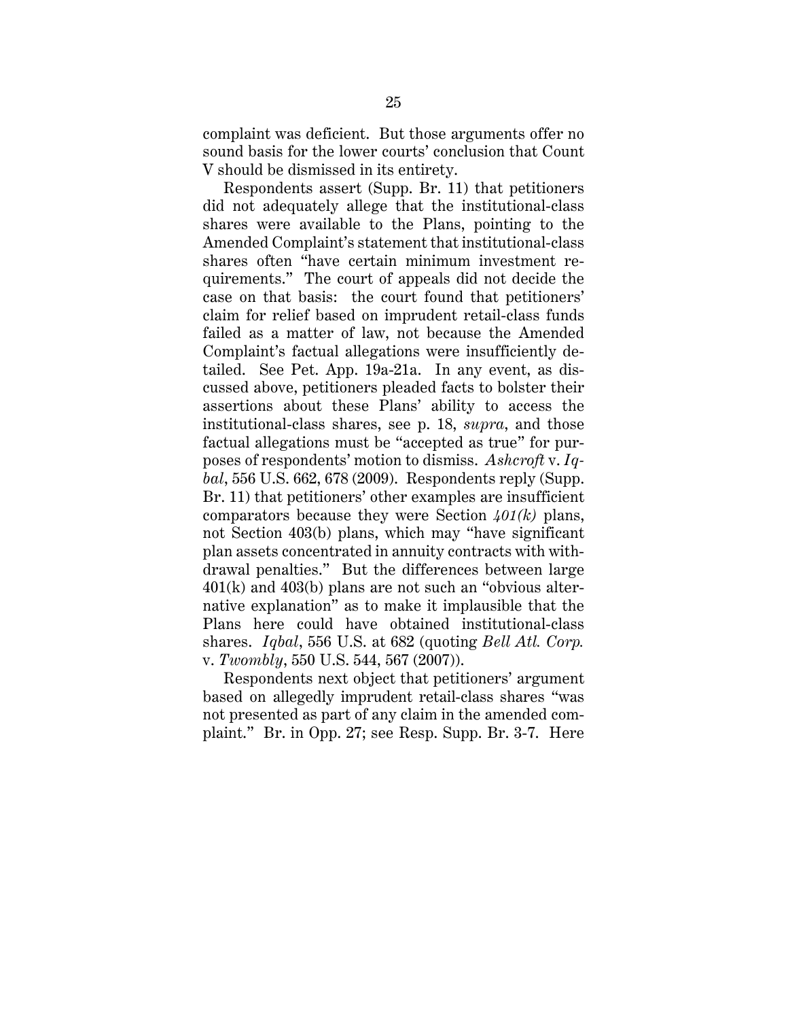complaint was deficient. But those arguments offer no sound basis for the lower courts' conclusion that Count V should be dismissed in its entirety.

Respondents assert (Supp. Br. 11) that petitioners did not adequately allege that the institutional-class shares were available to the Plans, pointing to the Amended Complaint's statement that institutional-class shares often "have certain minimum investment requirements." The court of appeals did not decide the case on that basis: the court found that petitioners' claim for relief based on imprudent retail-class funds failed as a matter of law, not because the Amended Complaint's factual allegations were insufficiently detailed. See Pet. App. 19a-21a. In any event, as discussed above, petitioners pleaded facts to bolster their assertions about these Plans' ability to access the institutional-class shares, see p. 18, *supra*, and those factual allegations must be "accepted as true" for purposes of respondents' motion to dismiss. *Ashcroft* v. *Iqbal*, 556 U.S. 662, 678 (2009). Respondents reply (Supp. Br. 11) that petitioners' other examples are insufficient comparators because they were Section *401(k)* plans, not Section 403(b) plans, which may "have significant plan assets concentrated in annuity contracts with withdrawal penalties." But the differences between large 401(k) and 403(b) plans are not such an "obvious alternative explanation" as to make it implausible that the Plans here could have obtained institutional-class shares. *Iqbal*, 556 U.S. at 682 (quoting *Bell Atl. Corp.*  v. *Twombly*, 550 U.S. 544, 567 (2007)).

Respondents next object that petitioners' argument based on allegedly imprudent retail-class shares "was not presented as part of any claim in the amended complaint." Br. in Opp. 27; see Resp. Supp. Br. 3-7. Here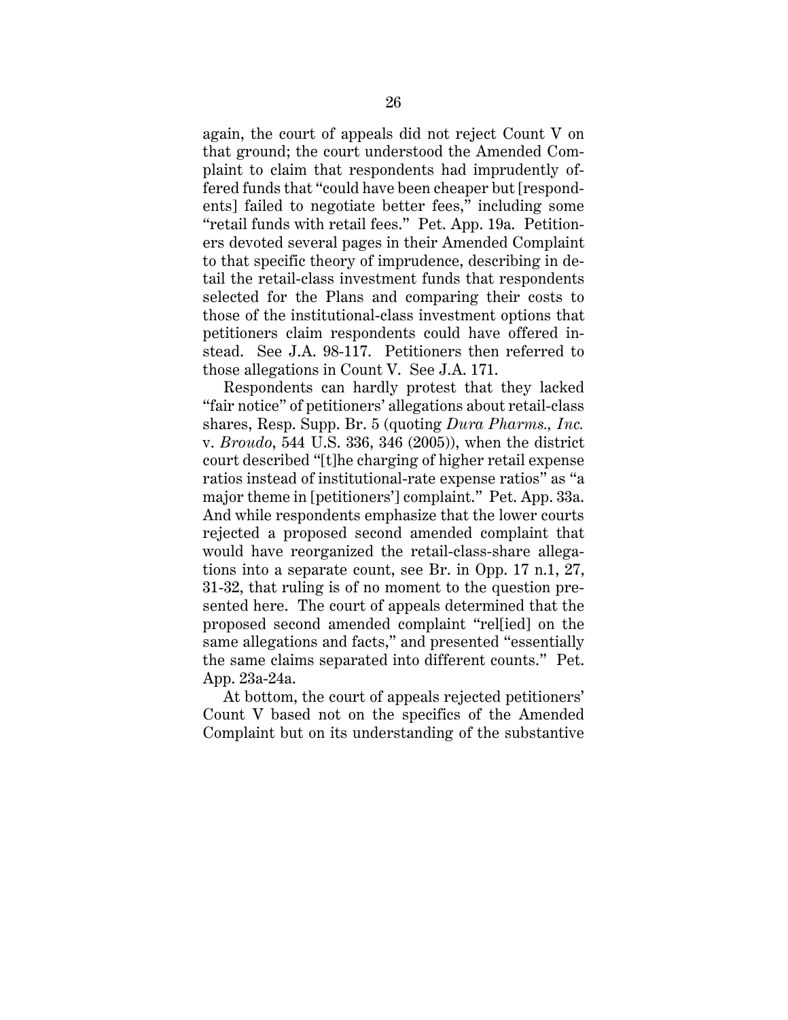again, the court of appeals did not reject Count V on that ground; the court understood the Amended Complaint to claim that respondents had imprudently offered funds that "could have been cheaper but [respondents] failed to negotiate better fees," including some "retail funds with retail fees." Pet. App. 19a. Petitioners devoted several pages in their Amended Complaint to that specific theory of imprudence, describing in detail the retail-class investment funds that respondents selected for the Plans and comparing their costs to those of the institutional-class investment options that petitioners claim respondents could have offered instead. See J.A. 98-117. Petitioners then referred to those allegations in Count V. See J.A. 171.

Respondents can hardly protest that they lacked "fair notice" of petitioners' allegations about retail-class shares, Resp. Supp. Br. 5 (quoting *Dura Pharms., Inc.*  v. *Broudo*, 544 U.S. 336, 346 (2005)), when the district court described "[t]he charging of higher retail expense ratios instead of institutional-rate expense ratios" as "a major theme in [petitioners'] complaint." Pet. App. 33a. And while respondents emphasize that the lower courts rejected a proposed second amended complaint that would have reorganized the retail-class-share allegations into a separate count, see Br. in Opp. 17 n.1, 27, 31-32, that ruling is of no moment to the question presented here. The court of appeals determined that the proposed second amended complaint "rel[ied] on the same allegations and facts," and presented "essentially the same claims separated into different counts." Pet. App. 23a-24a.

At bottom, the court of appeals rejected petitioners' Count V based not on the specifics of the Amended Complaint but on its understanding of the substantive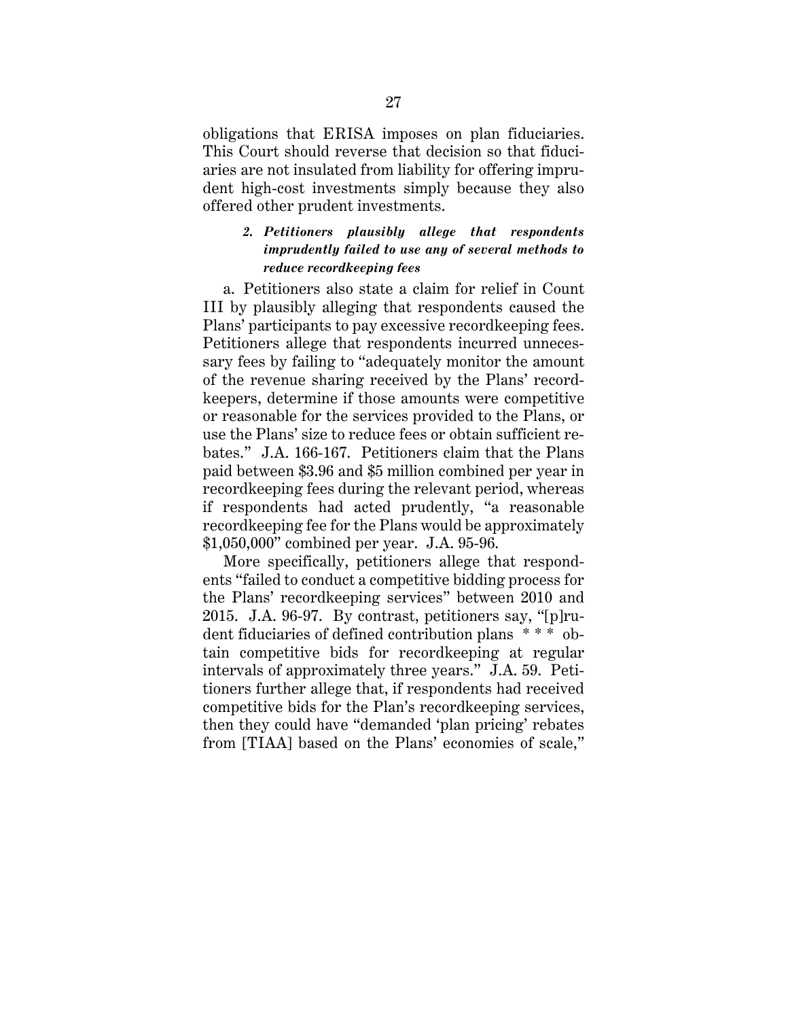obligations that ERISA imposes on plan fiduciaries. This Court should reverse that decision so that fiduciaries are not insulated from liability for offering imprudent high-cost investments simply because they also offered other prudent investments.

## *2. Petitioners plausibly allege that respondents imprudently failed to use any of several methods to reduce recordkeeping fees*

a. Petitioners also state a claim for relief in Count III by plausibly alleging that respondents caused the Plans' participants to pay excessive recordkeeping fees. Petitioners allege that respondents incurred unnecessary fees by failing to "adequately monitor the amount of the revenue sharing received by the Plans' recordkeepers, determine if those amounts were competitive or reasonable for the services provided to the Plans, or use the Plans' size to reduce fees or obtain sufficient rebates." J.A. 166-167. Petitioners claim that the Plans paid between \$3.96 and \$5 million combined per year in recordkeeping fees during the relevant period, whereas if respondents had acted prudently, "a reasonable recordkeeping fee for the Plans would be approximately \$1,050,000" combined per year. J.A. 95-96.

More specifically, petitioners allege that respondents "failed to conduct a competitive bidding process for the Plans' recordkeeping services" between 2010 and 2015. J.A. 96-97. By contrast, petitioners say, "[p]rudent fiduciaries of defined contribution plans \* \* \* obtain competitive bids for recordkeeping at regular intervals of approximately three years." J.A. 59. Petitioners further allege that, if respondents had received competitive bids for the Plan's recordkeeping services, then they could have "demanded 'plan pricing' rebates from [TIAA] based on the Plans' economies of scale,"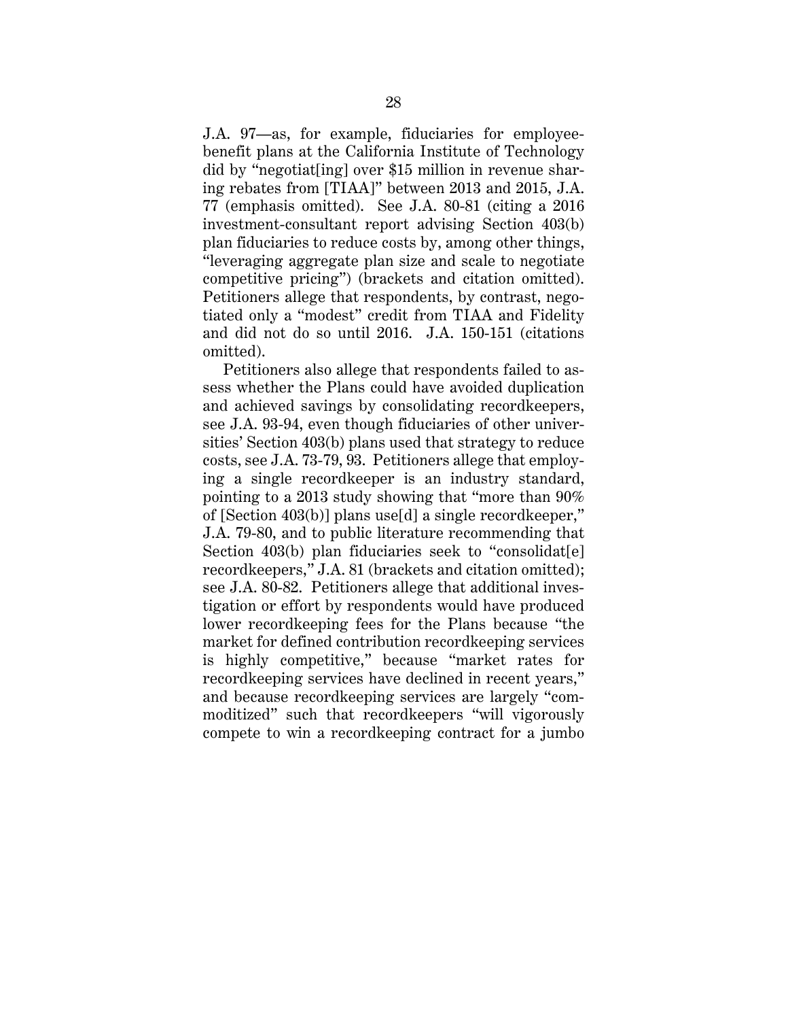J.A. 97—as, for example, fiduciaries for employeebenefit plans at the California Institute of Technology did by "negotiat[ing] over \$15 million in revenue sharing rebates from [TIAA]" between 2013 and 2015, J.A. 77 (emphasis omitted). See J.A. 80-81 (citing a 2016 investment-consultant report advising Section 403(b) plan fiduciaries to reduce costs by, among other things, "leveraging aggregate plan size and scale to negotiate competitive pricing") (brackets and citation omitted). Petitioners allege that respondents, by contrast, negotiated only a "modest" credit from TIAA and Fidelity and did not do so until 2016. J.A. 150-151 (citations omitted).

Petitioners also allege that respondents failed to assess whether the Plans could have avoided duplication and achieved savings by consolidating recordkeepers, see J.A. 93-94, even though fiduciaries of other universities' Section 403(b) plans used that strategy to reduce costs, see J.A. 73-79, 93. Petitioners allege that employing a single recordkeeper is an industry standard, pointing to a 2013 study showing that "more than 90% of [Section 403(b)] plans use[d] a single recordkeeper," J.A. 79-80, and to public literature recommending that Section 403(b) plan fiduciaries seek to "consolidat[e] recordkeepers," J.A. 81 (brackets and citation omitted); see J.A. 80-82. Petitioners allege that additional investigation or effort by respondents would have produced lower recordkeeping fees for the Plans because "the market for defined contribution recordkeeping services is highly competitive," because "market rates for recordkeeping services have declined in recent years," and because recordkeeping services are largely "commoditized" such that recordkeepers "will vigorously compete to win a recordkeeping contract for a jumbo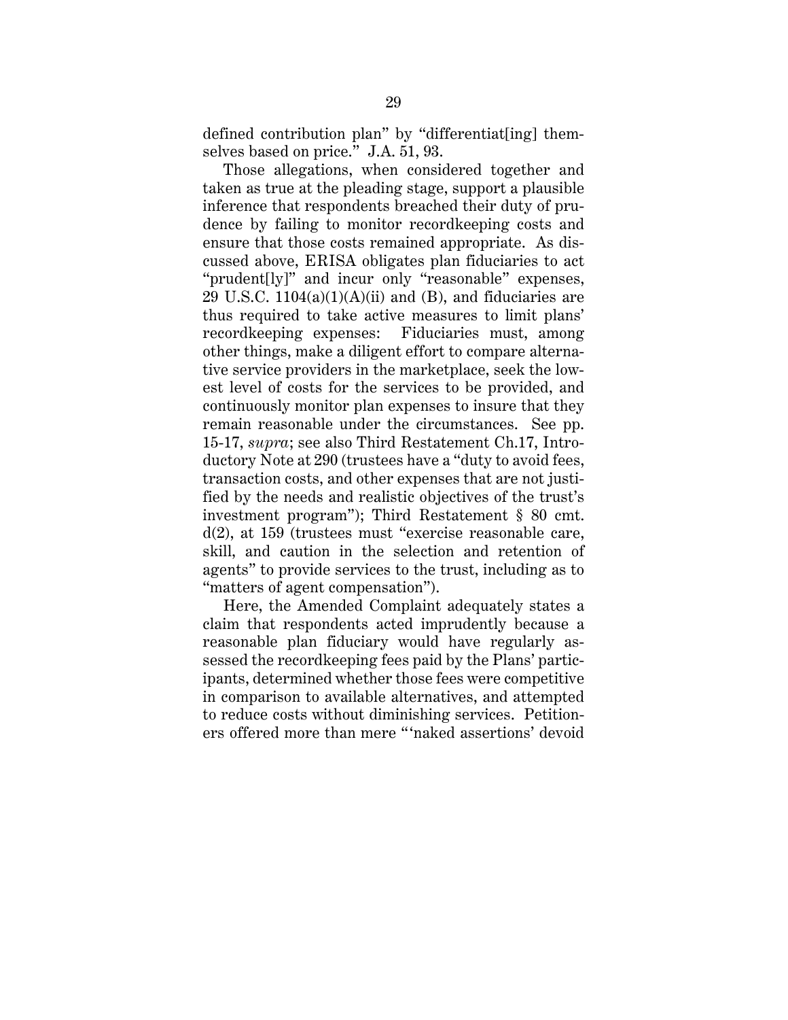defined contribution plan" by "differentiat[ing] themselves based on price." J.A. 51, 93.

Those allegations, when considered together and taken as true at the pleading stage, support a plausible inference that respondents breached their duty of prudence by failing to monitor recordkeeping costs and ensure that those costs remained appropriate. As discussed above, ERISA obligates plan fiduciaries to act "prudent[ly]" and incur only "reasonable" expenses, 29 U.S.C.  $1104(a)(1)(A)(ii)$  and (B), and fiduciaries are thus required to take active measures to limit plans' recordkeeping expenses: Fiduciaries must, among other things, make a diligent effort to compare alternative service providers in the marketplace, seek the lowest level of costs for the services to be provided, and continuously monitor plan expenses to insure that they remain reasonable under the circumstances. See pp. 15-17, *supra*; see also Third Restatement Ch.17, Introductory Note at 290 (trustees have a "duty to avoid fees, transaction costs, and other expenses that are not justified by the needs and realistic objectives of the trust's investment program"); Third Restatement § 80 cmt. d(2), at 159 (trustees must "exercise reasonable care, skill, and caution in the selection and retention of agents" to provide services to the trust, including as to "matters of agent compensation").

Here, the Amended Complaint adequately states a claim that respondents acted imprudently because a reasonable plan fiduciary would have regularly assessed the recordkeeping fees paid by the Plans' participants, determined whether those fees were competitive in comparison to available alternatives, and attempted to reduce costs without diminishing services. Petitioners offered more than mere "'naked assertions' devoid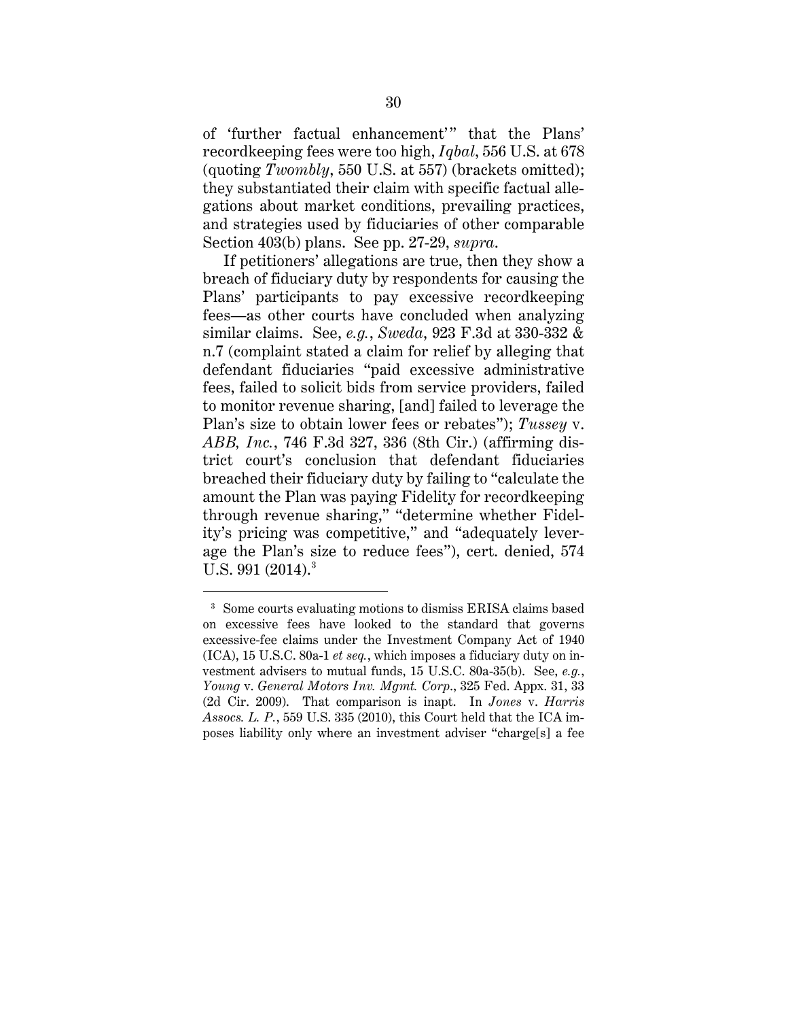of 'further factual enhancement'" that the Plans' recordkeeping fees were too high, *Iqbal*, 556 U.S. at 678 (quoting *Twombly*, 550 U.S. at 557) (brackets omitted); they substantiated their claim with specific factual allegations about market conditions, prevailing practices, and strategies used by fiduciaries of other comparable Section 403(b) plans. See pp. 27-29, *supra*.

If petitioners' allegations are true, then they show a breach of fiduciary duty by respondents for causing the Plans' participants to pay excessive recordkeeping fees—as other courts have concluded when analyzing similar claims. See, *e.g.*, *Sweda*, 923 F.3d at 330-332 & n.7 (complaint stated a claim for relief by alleging that defendant fiduciaries "paid excessive administrative fees, failed to solicit bids from service providers, failed to monitor revenue sharing, [and] failed to leverage the Plan's size to obtain lower fees or rebates"); *Tussey* v. *ABB, Inc.*, 746 F.3d 327, 336 (8th Cir.) (affirming district court's conclusion that defendant fiduciaries breached their fiduciary duty by failing to "calculate the amount the Plan was paying Fidelity for recordkeeping through revenue sharing," "determine whether Fidelity's pricing was competitive," and "adequately leverage the Plan's size to reduce fees"), cert. denied, 574 U.S. 991  $(2014)^3$ 

<sup>&</sup>lt;sup>3</sup> Some courts evaluating motions to dismiss ERISA claims based on excessive fees have looked to the standard that governs excessive-fee claims under the Investment Company Act of 1940 (ICA), 15 U.S.C. 80a-1 *et seq.*, which imposes a fiduciary duty on investment advisers to mutual funds, 15 U.S.C. 80a-35(b). See, *e.g.*, *Young* v. *General Motors Inv. Mgmt. Corp*., 325 Fed. Appx. 31, 33 (2d Cir. 2009). That comparison is inapt. In *Jones* v. *Harris Assocs. L. P.*, 559 U.S. 335 (2010), this Court held that the ICA imposes liability only where an investment adviser "charge[s] a fee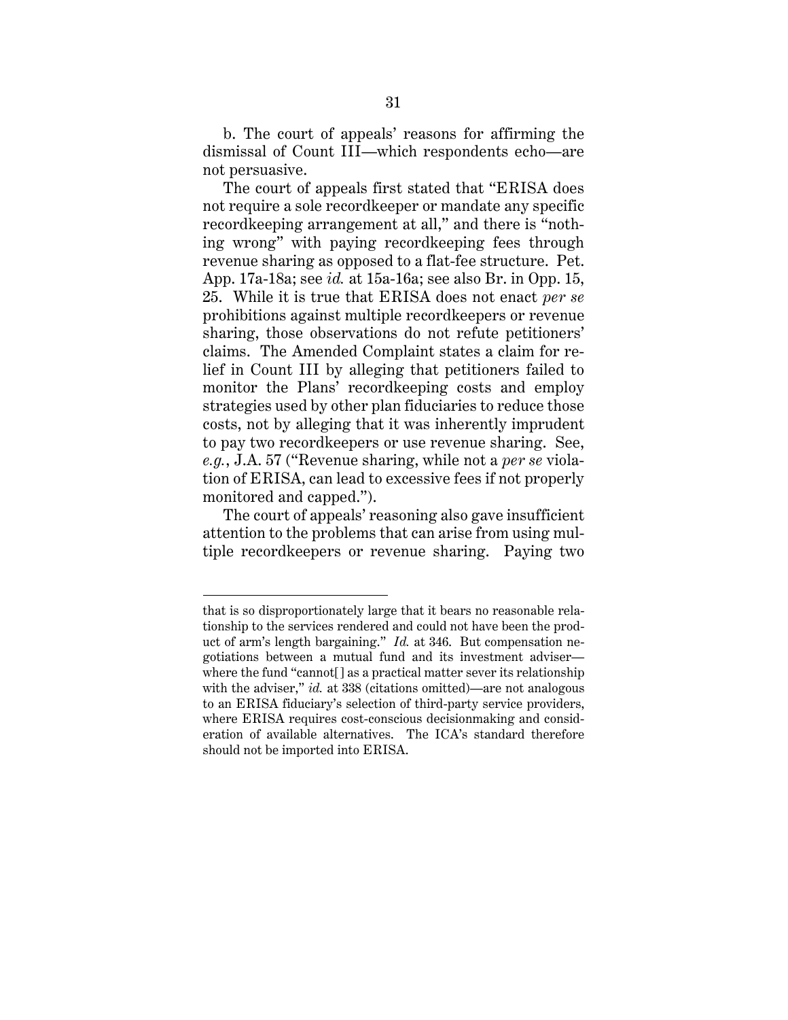b. The court of appeals' reasons for affirming the dismissal of Count III—which respondents echo—are not persuasive.

The court of appeals first stated that "ERISA does not require a sole recordkeeper or mandate any specific recordkeeping arrangement at all," and there is "nothing wrong" with paying recordkeeping fees through revenue sharing as opposed to a flat-fee structure. Pet. App. 17a-18a; see *id.* at 15a-16a; see also Br. in Opp. 15, 25. While it is true that ERISA does not enact *per se* prohibitions against multiple recordkeepers or revenue sharing, those observations do not refute petitioners' claims. The Amended Complaint states a claim for relief in Count III by alleging that petitioners failed to monitor the Plans' recordkeeping costs and employ strategies used by other plan fiduciaries to reduce those costs, not by alleging that it was inherently imprudent to pay two recordkeepers or use revenue sharing. See, *e.g.*, J.A. 57 ("Revenue sharing, while not a *per se* violation of ERISA, can lead to excessive fees if not properly monitored and capped.").

The court of appeals' reasoning also gave insufficient attention to the problems that can arise from using multiple recordkeepers or revenue sharing. Paying two

that is so disproportionately large that it bears no reasonable relationship to the services rendered and could not have been the product of arm's length bargaining." *Id.* at 346. But compensation negotiations between a mutual fund and its investment adviser where the fund "cannot[] as a practical matter sever its relationship with the adviser," *id.* at 338 (citations omitted)—are not analogous to an ERISA fiduciary's selection of third-party service providers, where ERISA requires cost-conscious decisionmaking and consideration of available alternatives. The ICA's standard therefore should not be imported into ERISA.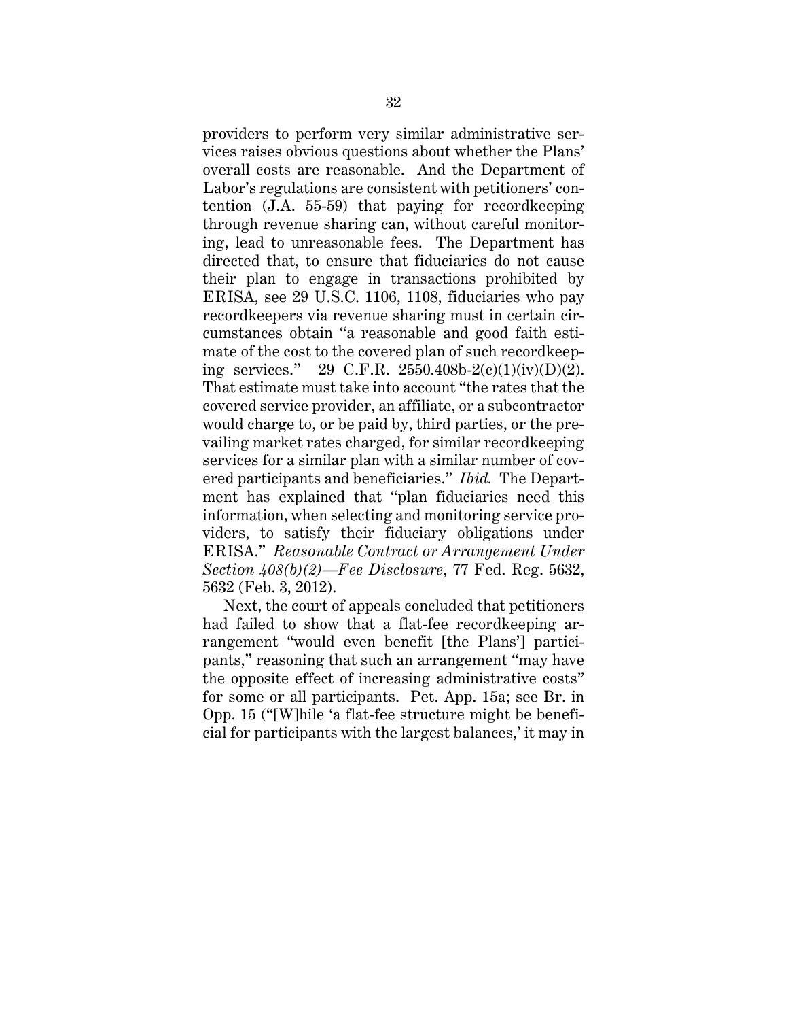providers to perform very similar administrative services raises obvious questions about whether the Plans' overall costs are reasonable. And the Department of Labor's regulations are consistent with petitioners' contention (J.A. 55-59) that paying for recordkeeping through revenue sharing can, without careful monitoring, lead to unreasonable fees. The Department has directed that, to ensure that fiduciaries do not cause their plan to engage in transactions prohibited by ERISA, see 29 U.S.C. 1106, 1108, fiduciaries who pay recordkeepers via revenue sharing must in certain circumstances obtain "a reasonable and good faith estimate of the cost to the covered plan of such recordkeeping services." 29 C.F.R. 2550.408b-2(c)(1)(iv)(D)(2). That estimate must take into account "the rates that the covered service provider, an affiliate, or a subcontractor would charge to, or be paid by, third parties, or the prevailing market rates charged, for similar recordkeeping services for a similar plan with a similar number of covered participants and beneficiaries." *Ibid.* The Department has explained that "plan fiduciaries need this information, when selecting and monitoring service providers, to satisfy their fiduciary obligations under ERISA." *Reasonable Contract or Arrangement Under Section 408(b)(2)—Fee Disclosure*, 77 Fed. Reg. 5632, 5632 (Feb. 3, 2012).

Next, the court of appeals concluded that petitioners had failed to show that a flat-fee recordkeeping arrangement "would even benefit [the Plans'] participants," reasoning that such an arrangement "may have the opposite effect of increasing administrative costs" for some or all participants. Pet. App. 15a; see Br. in Opp. 15 ("[W]hile 'a flat-fee structure might be beneficial for participants with the largest balances,' it may in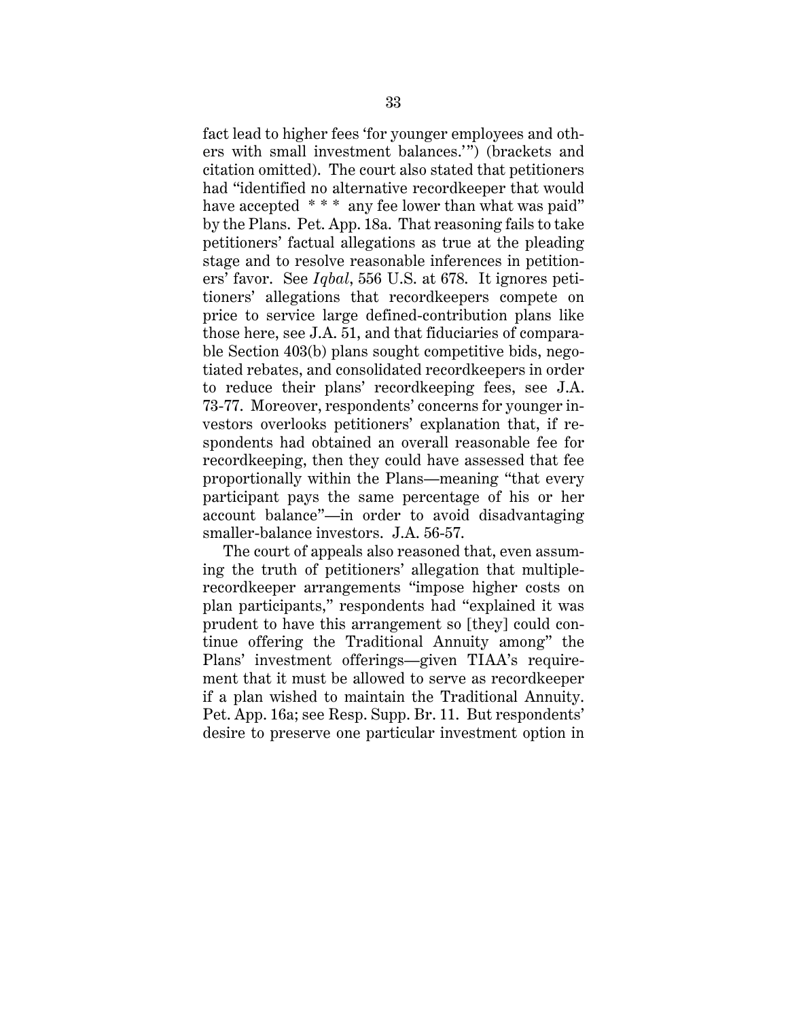fact lead to higher fees 'for younger employees and others with small investment balances.'") (brackets and citation omitted). The court also stated that petitioners had "identified no alternative recordkeeper that would have accepted \*\*\* any fee lower than what was paid" by the Plans. Pet. App. 18a. That reasoning fails to take petitioners' factual allegations as true at the pleading stage and to resolve reasonable inferences in petitioners' favor. See *Iqbal*, 556 U.S. at 678. It ignores petitioners' allegations that recordkeepers compete on price to service large defined-contribution plans like those here, see J.A. 51, and that fiduciaries of comparable Section 403(b) plans sought competitive bids, negotiated rebates, and consolidated recordkeepers in order to reduce their plans' recordkeeping fees, see J.A. 73-77. Moreover, respondents' concerns for younger investors overlooks petitioners' explanation that, if respondents had obtained an overall reasonable fee for recordkeeping, then they could have assessed that fee proportionally within the Plans—meaning "that every participant pays the same percentage of his or her account balance"—in order to avoid disadvantaging smaller-balance investors. J.A. 56-57.

The court of appeals also reasoned that, even assuming the truth of petitioners' allegation that multiplerecordkeeper arrangements "impose higher costs on plan participants," respondents had "explained it was prudent to have this arrangement so [they] could continue offering the Traditional Annuity among" the Plans' investment offerings—given TIAA's requirement that it must be allowed to serve as recordkeeper if a plan wished to maintain the Traditional Annuity. Pet. App. 16a; see Resp. Supp. Br. 11. But respondents' desire to preserve one particular investment option in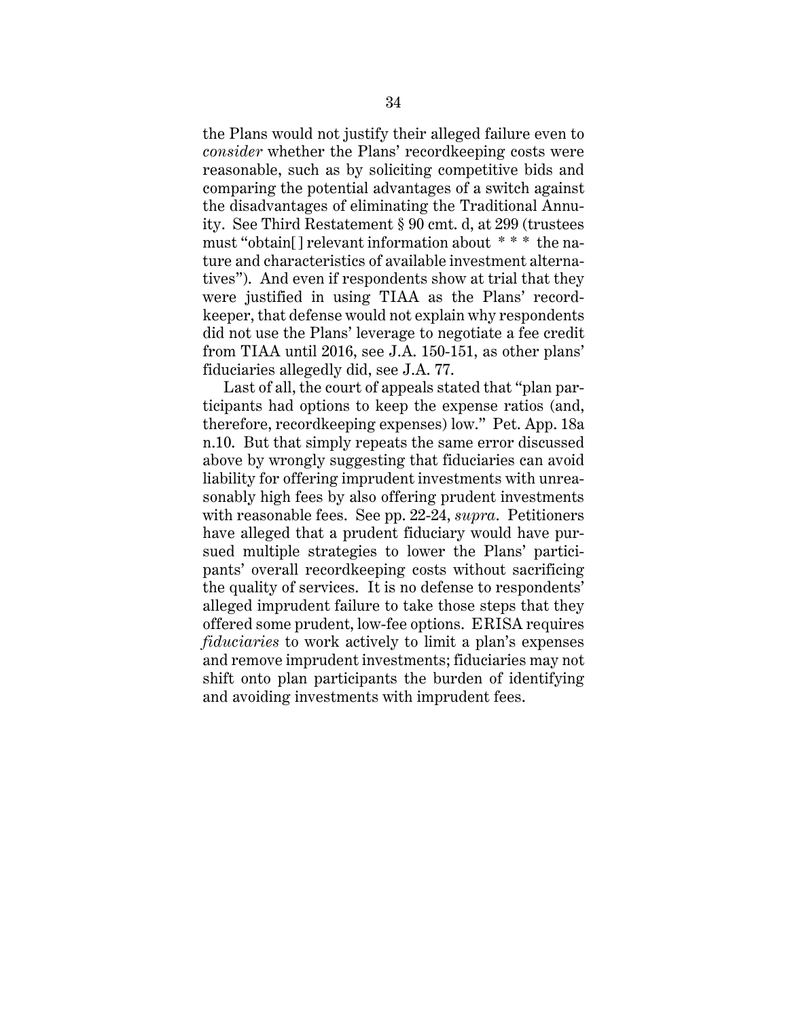the Plans would not justify their alleged failure even to *consider* whether the Plans' recordkeeping costs were reasonable, such as by soliciting competitive bids and comparing the potential advantages of a switch against the disadvantages of eliminating the Traditional Annuity. See Third Restatement § 90 cmt. d, at 299 (trustees must "obtain[] relevant information about \* \* \* the nature and characteristics of available investment alternatives"). And even if respondents show at trial that they were justified in using TIAA as the Plans' recordkeeper, that defense would not explain why respondents did not use the Plans' leverage to negotiate a fee credit from TIAA until 2016, see J.A. 150-151, as other plans' fiduciaries allegedly did, see J.A. 77.

Last of all, the court of appeals stated that "plan participants had options to keep the expense ratios (and, therefore, recordkeeping expenses) low." Pet. App. 18a n.10. But that simply repeats the same error discussed above by wrongly suggesting that fiduciaries can avoid liability for offering imprudent investments with unreasonably high fees by also offering prudent investments with reasonable fees. See pp. 22-24, *supra*. Petitioners have alleged that a prudent fiduciary would have pursued multiple strategies to lower the Plans' participants' overall recordkeeping costs without sacrificing the quality of services. It is no defense to respondents' alleged imprudent failure to take those steps that they offered some prudent, low-fee options. ERISA requires *fiduciaries* to work actively to limit a plan's expenses and remove imprudent investments; fiduciaries may not shift onto plan participants the burden of identifying and avoiding investments with imprudent fees.